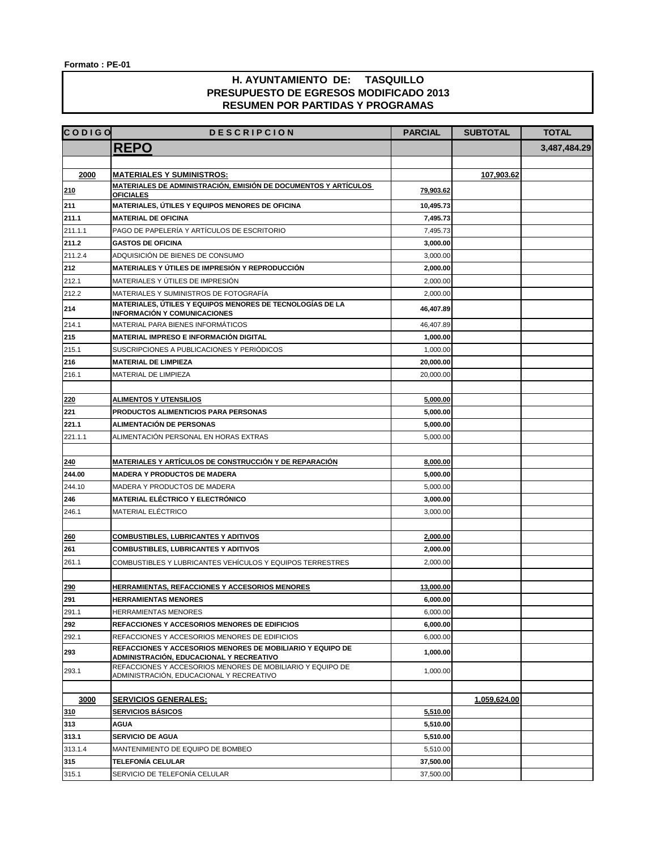| <b>CODIGO</b> | <b>DESCRIPCION</b>                                                                                     | <b>PARCIAL</b> | <b>SUBTOTAL</b> | <b>TOTAL</b> |
|---------------|--------------------------------------------------------------------------------------------------------|----------------|-----------------|--------------|
|               | <b>REPO</b>                                                                                            |                |                 | 3,487,484.29 |
|               |                                                                                                        |                |                 |              |
| 2000          | <b>MATERIALES Y SUMINISTROS:</b>                                                                       |                | 107,903.62      |              |
| 210           | MATERIALES DE ADMINISTRACIÓN, EMISIÓN DE DOCUMENTOS Y ARTÍCULOS                                        | 79,903.62      |                 |              |
|               | <b>OFICIALES</b>                                                                                       |                |                 |              |
| 211           | MATERIALES, ÚTILES Y EQUIPOS MENORES DE OFICINA                                                        | 10,495.73      |                 |              |
| 211.1         | <b>MATERIAL DE OFICINA</b>                                                                             | 7,495.73       |                 |              |
| 211.1.1       | PAGO DE PAPELERÍA Y ARTÍCULOS DE ESCRITORIO                                                            | 7,495.73       |                 |              |
| 211.2         | <b>GASTOS DE OFICINA</b>                                                                               | 3,000.00       |                 |              |
| 211.2.4       | ADQUISICIÓN DE BIENES DE CONSUMO                                                                       | 3,000.00       |                 |              |
| 212           | MATERIALES Y ÚTILES DE IMPRESIÓN Y REPRODUCCIÓN                                                        | 2,000.00       |                 |              |
| 212.1         | MATERIALES Y ÚTILES DE IMPRESIÓN                                                                       | 2,000.00       |                 |              |
| 212.2         | MATERIALES Y SUMINISTROS DE FOTOGRAFÍA                                                                 | 2,000.00       |                 |              |
| 214           | MATERIALES, ÚTILES Y EQUIPOS MENORES DE TECNOLOGÍAS DE LA<br><b>INFORMACIÓN Y COMUNICACIONES</b>       | 46,407.89      |                 |              |
| 214.1         | MATERIAL PARA BIENES INFORMÁTICOS                                                                      | 46,407.89      |                 |              |
| 215           | MATERIAL IMPRESO E INFORMACIÓN DIGITAL                                                                 | 1,000.00       |                 |              |
| 215.1         | SUSCRIPCIONES A PUBLICACIONES Y PERIÓDICOS                                                             | 1,000.00       |                 |              |
| 216           | <b>MATERIAL DE LIMPIEZA</b>                                                                            | 20,000.00      |                 |              |
| 216.1         | MATERIAL DE LIMPIEZA                                                                                   | 20,000.00      |                 |              |
|               |                                                                                                        |                |                 |              |
| 220           | <b>ALIMENTOS Y UTENSILIOS</b>                                                                          | 5,000.00       |                 |              |
| 221           | <b>PRODUCTOS ALIMENTICIOS PARA PERSONAS</b>                                                            | 5,000.00       |                 |              |
| 221.1         | ALIMENTACIÓN DE PERSONAS                                                                               | 5,000.00       |                 |              |
| 221.1.1       | ALIMENTACIÓN PERSONAL EN HORAS EXTRAS                                                                  | 5,000.00       |                 |              |
|               |                                                                                                        |                |                 |              |
| 240           | MATERIALES Y ARTÍCULOS DE CONSTRUCCIÓN Y DE REPARACIÓN                                                 | 8,000.00       |                 |              |
| 244.00        | <b>MADERA Y PRODUCTOS DE MADERA</b>                                                                    | 5,000.00       |                 |              |
| 244.10        | MADERA Y PRODUCTOS DE MADERA                                                                           | 5,000.00       |                 |              |
| 246           | MATERIAL ELÉCTRICO Y ELECTRÓNICO                                                                       | 3,000.00       |                 |              |
| 246.1         | MATERIAL ELÉCTRICO                                                                                     | 3,000.00       |                 |              |
|               |                                                                                                        |                |                 |              |
| 260           | <b>COMBUSTIBLES, LUBRICANTES Y ADITIVOS</b>                                                            | 2,000.00       |                 |              |
| 261           | <b>COMBUSTIBLES, LUBRICANTES Y ADITIVOS</b>                                                            | 2,000.00       |                 |              |
| 261.1         | COMBUSTIBLES Y LUBRICANTES VEHÍCULOS Y EQUIPOS TERRESTRES                                              | 2,000.00       |                 |              |
|               |                                                                                                        |                |                 |              |
| 290           | <u>HERRAMIENTAS, REFACCIONES Y ACCESORIOS MENORES</u>                                                  | 13,000.00      |                 |              |
| 291           | <b>HERRAMIENTAS MENORES</b>                                                                            | 6,000.00       |                 |              |
| 291.1         | HERRAMIENTAS MENORES                                                                                   | 6,000.00       |                 |              |
| 292           | REFACCIONES Y ACCESORIOS MENORES DE EDIFICIOS                                                          | 6,000.00       |                 |              |
| 292.1         | REFACCIONES Y ACCESORIOS MENORES DE EDIFICIOS                                                          | 6,000.00       |                 |              |
| 293           | REFACCIONES Y ACCESORIOS MENORES DE MOBILIARIO Y EQUIPO DE<br>ADMINISTRACIÓN, EDUCACIONAL Y RECREATIVO | 1,000.00       |                 |              |
| 293.1         | REFACCIONES Y ACCESORIOS MENORES DE MOBILIARIO Y EQUIPO DE<br>ADMINISTRACIÓN, EDUCACIONAL Y RECREATIVO | 1,000.00       |                 |              |
|               |                                                                                                        |                |                 |              |
| 3000          | <b>SERVICIOS GENERALES:</b>                                                                            |                | 1,059,624.00    |              |
| 310           | <b>SERVICIOS BÁSICOS</b>                                                                               | 5,510.00       |                 |              |
| 313           | <b>AGUA</b>                                                                                            | 5,510.00       |                 |              |
| 313.1         | <b>SERVICIO DE AGUA</b>                                                                                | 5,510.00       |                 |              |
| 313.1.4       | MANTENIMIENTO DE EQUIPO DE BOMBEO                                                                      | 5,510.00       |                 |              |
| 315           | TELEFONÍA CELULAR                                                                                      | 37,500.00      |                 |              |
| 315.1         | SERVICIO DE TELEFONÍA CELULAR                                                                          | 37,500.00      |                 |              |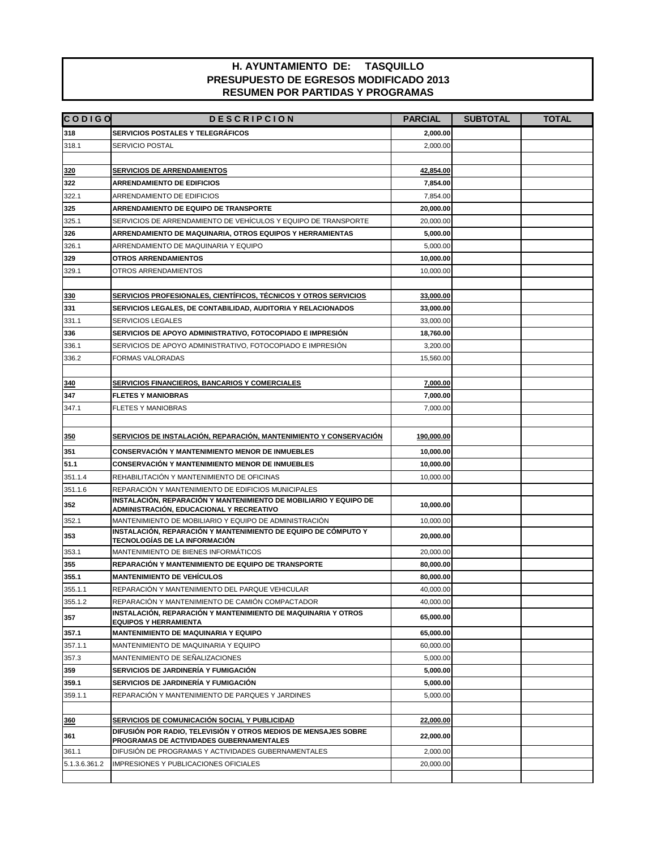| <b>CODIGO</b> | <b>DESCRIPCION</b>                                                                                            | <b>PARCIAL</b> | <b>SUBTOTAL</b> | <b>TOTAL</b> |
|---------------|---------------------------------------------------------------------------------------------------------------|----------------|-----------------|--------------|
| 318           | <b>SERVICIOS POSTALES Y TELEGRÁFICOS</b>                                                                      | 2,000.00       |                 |              |
| 318.1         | <b>SERVICIO POSTAL</b>                                                                                        | 2,000.00       |                 |              |
|               |                                                                                                               |                |                 |              |
| 320           | <b>SERVICIOS DE ARRENDAMIENTOS</b>                                                                            | 42,854.00      |                 |              |
| 322           | <b>ARRENDAMIENTO DE EDIFICIOS</b>                                                                             | 7,854.00       |                 |              |
| 322.1         | ARRENDAMIENTO DE EDIFICIOS                                                                                    | 7,854.00       |                 |              |
| 325           | ARRENDAMIENTO DE EQUIPO DE TRANSPORTE                                                                         | 20,000.00      |                 |              |
| 325.1         | SERVICIOS DE ARRENDAMIENTO DE VEHÍCULOS Y EQUIPO DE TRANSPORTE                                                | 20,000.00      |                 |              |
| 326           | ARRENDAMIENTO DE MAQUINARIA, OTROS EQUIPOS Y HERRAMIENTAS                                                     | 5,000.00       |                 |              |
| 326.1         | ARRENDAMIENTO DE MAQUINARIA Y EQUIPO                                                                          | 5,000.00       |                 |              |
| 329           | <b>OTROS ARRENDAMIENTOS</b>                                                                                   | 10,000.00      |                 |              |
| 329.1         | OTROS ARRENDAMIENTOS                                                                                          | 10,000.00      |                 |              |
|               |                                                                                                               |                |                 |              |
| 330           | SERVICIOS PROFESIONALES, CIENTÍFICOS, TÉCNICOS Y OTROS SERVICIOS                                              | 33,000.00      |                 |              |
| 331           | SERVICIOS LEGALES, DE CONTABILIDAD, AUDITORIA Y RELACIONADOS                                                  | 33,000.00      |                 |              |
| 331.1         | <b>SERVICIOS LEGALES</b>                                                                                      | 33,000.00      |                 |              |
| 336           | SERVICIOS DE APOYO ADMINISTRATIVO, FOTOCOPIADO E IMPRESIÓN                                                    | 18,760.00      |                 |              |
| 336.1         | SERVICIOS DE APOYO ADMINISTRATIVO. FOTOCOPIADO E IMPRESIÓN                                                    | 3,200.00       |                 |              |
| 336.2         | FORMAS VALORADAS                                                                                              | 15.560.00      |                 |              |
|               |                                                                                                               |                |                 |              |
| 340           | SERVICIOS FINANCIEROS, BANCARIOS Y COMERCIALES                                                                | 7,000.00       |                 |              |
| 347           | <b>FLETES Y MANIOBRAS</b>                                                                                     | 7,000.00       |                 |              |
| 347.1         | <b>FLETES Y MANIOBRAS</b>                                                                                     | 7.000.00       |                 |              |
|               |                                                                                                               |                |                 |              |
| 350           | SERVICIOS DE INSTALACIÓN, REPARACIÓN, MANTENIMIENTO Y CONSERVACIÓN                                            | 190,000.00     |                 |              |
| 351           | <b>CONSERVACIÓN Y MANTENIMIENTO MENOR DE INMUEBLES</b>                                                        | 10,000.00      |                 |              |
| 51.1          | <b>CONSERVACIÓN Y MANTENIMIENTO MENOR DE INMUEBLES</b>                                                        | 10,000.00      |                 |              |
| 351.1.4       | REHABILITACIÓN Y MANTENIMIENTO DE OFICINAS                                                                    | 10,000.00      |                 |              |
| 351.1.6       | REPARACIÓN Y MANTENIMIENTO DE EDIFICIOS MUNICIPALES                                                           |                |                 |              |
| 352           | INSTALACIÓN, REPARACIÓN Y MANTENIMIENTO DE MOBILIARIO Y EQUIPO DE<br>ADMINISTRACIÓN, EDUCACIONAL Y RECREATIVO | 10,000.00      |                 |              |
| 352.1         | MANTENIMIENTO DE MOBILIARIO Y EQUIPO DE ADMINISTRACIÓN                                                        | 10,000.00      |                 |              |
| 353           | INSTALACIÓN, REPARACIÓN Y MANTENIMIENTO DE EQUIPO DE CÓMPUTO Y<br>TECNOLOGÍAS DE LA INFORMACIÓN               | 20,000.00      |                 |              |
| 353.1         | MANTENIMIENTO DE BIENES INFORMÁTICOS                                                                          | 20,000.00      |                 |              |
| 355           | REPARACIÓN Y MANTENIMIENTO DE EQUIPO DE TRANSPORTE                                                            | 80,000.00      |                 |              |
| 355.1         | <b>MANTENIMIENTO DE VEHÍCULOS</b>                                                                             | 80,000.00      |                 |              |
| 355.1.1       | REPARACIÓN Y MANTENIMIENTO DEL PARQUE VEHICULAR                                                               | 40,000.00      |                 |              |
| 355.1.2       | REPARACIÓN Y MANTENIMIENTO DE CAMIÓN COMPACTADOR                                                              | 40,000.00      |                 |              |
| 357           | INSTALACIÓN. REPARACIÓN Y MANTENIMIENTO DE MAQUINARIA Y OTROS<br><b>EQUIPOS Y HERRAMIENTA</b>                 | 65,000.00      |                 |              |
| 357.1         | MANTENIMIENTO DE MAQUINARIA Y EQUIPO                                                                          | 65,000.00      |                 |              |
| 357.1.1       | MANTENIMIENTO DE MAQUINARIA Y EQUIPO                                                                          | 60,000.00      |                 |              |
| 357.3         | MANTENIMIENTO DE SEÑALIZACIONES                                                                               | 5,000.00       |                 |              |
| 359           | SERVICIOS DE JARDINERÍA Y FUMIGACIÓN                                                                          | 5,000.00       |                 |              |
| 359.1         | SERVICIOS DE JARDINERÍA Y FUMIGACIÓN                                                                          | 5,000.00       |                 |              |
| 359.1.1       | REPARACIÓN Y MANTENIMIENTO DE PARQUES Y JARDINES                                                              | 5,000.00       |                 |              |
|               |                                                                                                               |                |                 |              |
| 360           | SERVICIOS DE COMUNICACIÓN SOCIAL Y PUBLICIDAD                                                                 | 22,000.00      |                 |              |
| 361           | DIFUSIÓN POR RADIO, TELEVISIÓN Y OTROS MEDIOS DE MENSAJES SOBRE<br>PROGRAMAS DE ACTIVIDADES GUBERNAMENTALES   | 22,000.00      |                 |              |
| 361.1         | DIFUSIÓN DE PROGRAMAS Y ACTIVIDADES GUBERNAMENTALES                                                           | 2,000.00       |                 |              |
| 5.1.3.6.361.2 | IMPRESIONES Y PUBLICACIONES OFICIALES                                                                         | 20,000.00      |                 |              |
|               |                                                                                                               |                |                 |              |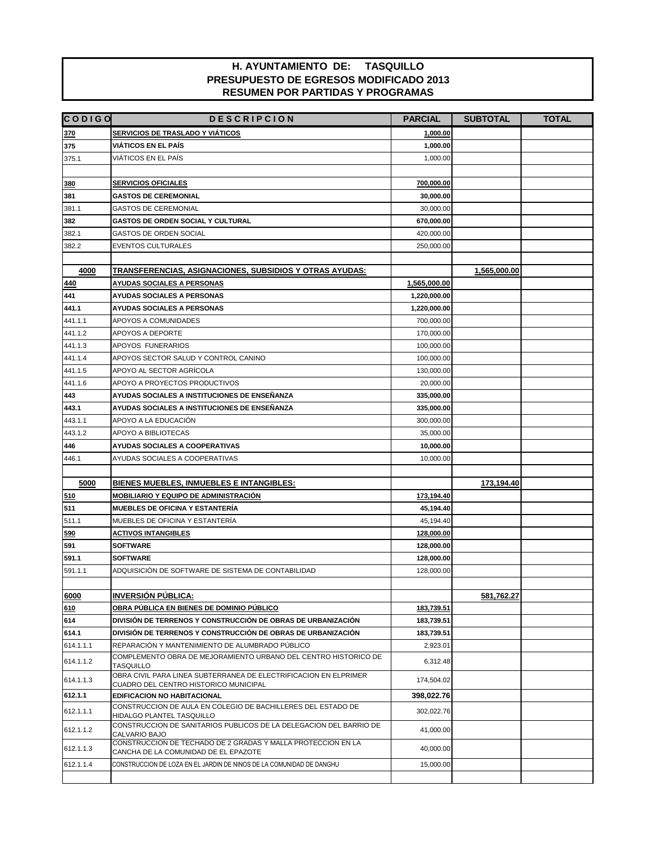| <b>CODIGO</b>      | <b>DESCRIPCION</b>                                                                                        | <b>PARCIAL</b>          | <b>SUBTOTAL</b> | <b>TOTAL</b> |
|--------------------|-----------------------------------------------------------------------------------------------------------|-------------------------|-----------------|--------------|
| 370                | <b>SERVICIOS DE TRASLADO Y VIÁTICOS</b>                                                                   | 1,000.00                |                 |              |
| 375                | <b>VIÁTICOS EN EL PAÍS</b>                                                                                | 1,000.00                |                 |              |
| 375.1              | VIÁTICOS EN EL PAÍS                                                                                       | 1,000.00                |                 |              |
|                    |                                                                                                           |                         |                 |              |
| 380                | <b>SERVICIOS OFICIALES</b>                                                                                | 700,000.00              |                 |              |
| 381                | <b>GASTOS DE CEREMONIAL</b>                                                                               | 30,000.00               |                 |              |
| 381.1              | <b>GASTOS DE CEREMONIAL</b>                                                                               | 30,000.00               |                 |              |
| 382                | GASTOS DE ORDEN SOCIAL Y CULTURAL                                                                         | 670,000.00              |                 |              |
| 382.1              | <b>GASTOS DE ORDEN SOCIAL</b>                                                                             | 420,000.00              |                 |              |
| 382.2              | <b>EVENTOS CULTURALES</b>                                                                                 | 250,000.00              |                 |              |
|                    |                                                                                                           |                         |                 |              |
| 4000               | TRANSFERENCIAS, ASIGNACIONES, SUBSIDIOS Y OTRAS AYUDAS:                                                   |                         | 1,565,000.00    |              |
| 440                | <b>AYUDAS SOCIALES A PERSONAS</b>                                                                         | 1,565,000.00            |                 |              |
| 441                | <b>AYUDAS SOCIALES A PERSONAS</b>                                                                         | 1,220,000.00            |                 |              |
| 441.1              | <b>AYUDAS SOCIALES A PERSONAS</b>                                                                         | 1,220,000.00            |                 |              |
| 441.1.1            | APOYOS A COMUNIDADES                                                                                      | 700,000.00              |                 |              |
| 441.1.2            | APOYOS A DEPORTE                                                                                          | 170,000.00              |                 |              |
| 441.1.3            | APOYOS FUNERARIOS                                                                                         | 100,000.00              |                 |              |
| 441.1.4            | APOYOS SECTOR SALUD Y CONTROL CANINO                                                                      | 100,000.00              |                 |              |
| 441.1.5            | APOYO AL SECTOR AGRÍCOLA                                                                                  | 130,000.00              |                 |              |
| 441.1.6            | APOYO A PROYECTOS PRODUCTIVOS                                                                             | 20,000.00               |                 |              |
| 443                | AYUDAS SOCIALES A INSTITUCIONES DE ENSEÑANZA                                                              | 335,000.00              |                 |              |
| 443.1              | AYUDAS SOCIALES A INSTITUCIONES DE ENSEÑANZA<br>APOYO A LA EDUCACIÓN                                      | 335,000.00              |                 |              |
| 443.1.1<br>443.1.2 | APOYO A BIBLIOTECAS                                                                                       | 300,000.00<br>35,000.00 |                 |              |
| 446                | AYUDAS SOCIALES A COOPERATIVAS                                                                            | 10,000.00               |                 |              |
| 446.1              | AYUDAS SOCIALES A COOPERATIVAS                                                                            | 10,000.00               |                 |              |
|                    |                                                                                                           |                         |                 |              |
| 5000               | <b>BIENES MUEBLES, INMUEBLES E INTANGIBLES:</b>                                                           |                         | 173,194.40      |              |
| 510                | <b>MOBILIARIO Y EQUIPO DE ADMINISTRACIÓN</b>                                                              | 173,194.40              |                 |              |
| 511                | <b>MUEBLES DE OFICINA Y ESTANTERÍA</b>                                                                    | 45,194.40               |                 |              |
| 511.1              | MUEBLES DE OFICINA Y ESTANTERÍA                                                                           | 45,194.40               |                 |              |
| 590                | <b>ACTIVOS INTANGIBLES</b>                                                                                | 128,000.00              |                 |              |
| 591                | <b>SOFTWARE</b>                                                                                           | 128,000.00              |                 |              |
| 591.1              | <b>SOFTWARE</b>                                                                                           | 128,000.00              |                 |              |
| 591.1.1            | ADQUISICIÓN DE SOFTWARE DE SISTEMA DE CONTABILIDAD                                                        | 128,000.00              |                 |              |
|                    |                                                                                                           |                         |                 |              |
| 6000               | <b>INVERSIÓN PÚBLICA:</b>                                                                                 |                         | 581,762.27      |              |
| 610                | OBRA PÚBLICA EN BIENES DE DOMINIO PÚBLICO                                                                 | 183,739.51              |                 |              |
| 614                | DIVISIÓN DE TERRENOS Y CONSTRUCCIÓN DE OBRAS DE URBANIZACIÓN                                              | 183,739.51              |                 |              |
| 614.1              | DIVISIÓN DE TERRENOS Y CONSTRUCCIÓN DE OBRAS DE URBANIZACIÓN                                              | 183,739.51              |                 |              |
| 614.1.1.1          | REPARACIÓN Y MANTENIMIENTO DE ALUMBRADO PÚBLICO                                                           | 2,923.01                |                 |              |
| 614.1.1.2          | COMPLEMENTO OBRA DE MEJORAMIENTO URBANO DEL CENTRO HISTORICO DE<br><b>TASQUILLO</b>                       | 6,312.48                |                 |              |
| 614.1.1.3          | OBRA CIVIL PARA LINEA SUBTERRANEA DE ELECTRIFICACION EN ELPRIMER<br>CUADRO DEL CENTRO HISTORICO MUNICIPAL | 174,504.02              |                 |              |
| 612.1.1            | EDIFICACION NO HABITACIONAL                                                                               | 398,022.76              |                 |              |
| 612.1.1.1          | CONSTRUCCION DE AULA EN COLEGIO DE BACHILLERES DEL ESTADO DE<br>HIDALGO PLANTEL TASQUILLO                 | 302,022.76              |                 |              |
| 612.1.1.2          | CONSTRUCCION DE SANITARIOS PUBLICOS DE LA DELEGACION DEL BARRIO DE<br>CALVARIO BAJO                       | 41,000.00               |                 |              |
| 612.1.1.3          | CONSTRUCCION DE TECHADO DE 2 GRADAS Y MALLA PROTECCION EN LA<br>CANCHA DE LA COMUNIDAD DE EL EPAZOTE      | 40,000.00               |                 |              |
| 612.1.1.4          | CONSTRUCCION DE LOZA EN EL JARDIN DE NINOS DE LA COMUNIDAD DE DANGHU                                      | 15,000.00               |                 |              |
|                    |                                                                                                           |                         |                 |              |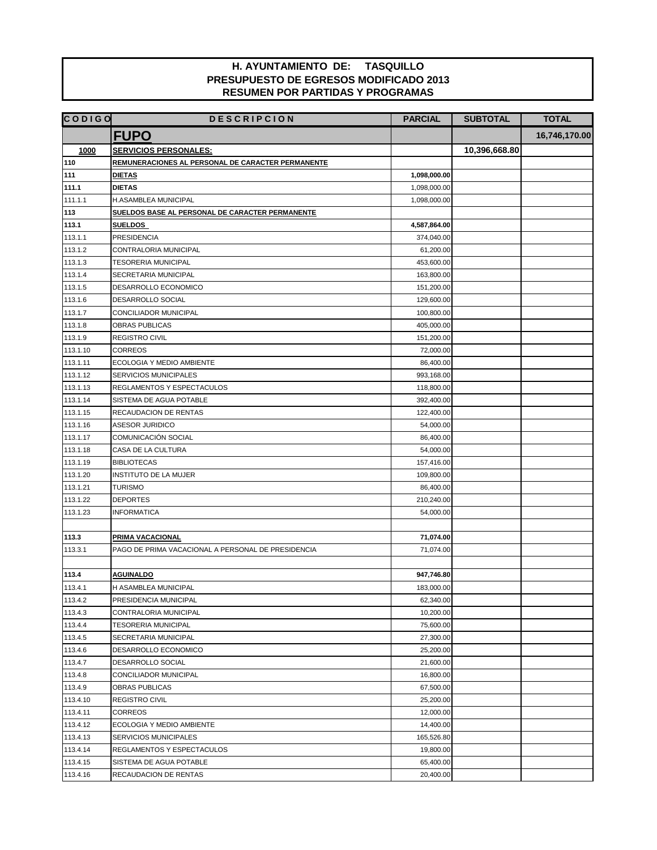| <b>FUPO</b><br>16,746,170.00<br><b>SERVICIOS PERSONALES:</b><br>1000<br>10,396,668.80<br>110<br>REMUNERACIONES AL PERSONAL DE CARACTER PERMANENTE<br>111<br><b>DIETAS</b><br>1,098,000.00<br>111.1<br><b>DIETAS</b><br>1,098,000.00<br>111.1.1<br>H.ASAMBLEA MUNICIPAL<br>1,098,000.00<br>113<br>SUELDOS BASE AL PERSONAL DE CARACTER PERMANENTE<br>113.1<br><b>SUELDOS</b><br>4,587,864.00<br>113.1.1<br><b>PRESIDENCIA</b><br>374,040.00<br>113.1.2<br>CONTRALORIA MUNICIPAL<br>61,200.00<br>113.1.3<br><b>TESORERIA MUNICIPAL</b><br>453,600.00<br>113.1.4<br>SECRETARIA MUNICIPAL<br>163,800.00<br>113.1.5<br>DESARROLLO ECONOMICO<br>151,200.00<br>113.1.6<br>DESARROLLO SOCIAL<br>129,600.00<br>113.1.7<br>CONCILIADOR MUNICIPAL<br>100,800.00<br>113.1.8<br>OBRAS PUBLICAS<br>405,000.00<br>113.1.9<br>REGISTRO CIVIL<br>151,200.00<br>113.1.10<br><b>CORREOS</b><br>72,000.00<br>113.1.11<br>ECOLOGIA Y MEDIO AMBIENTE<br>86,400.00<br>113.1.12<br>SERVICIOS MUNICIPALES<br>993,168.00<br>113.1.13<br>REGLAMENTOS Y ESPECTACULOS<br>118,800.00<br>113.1.14<br>SISTEMA DE AGUA POTABLE<br>392,400.00<br>113.1.15<br>RECAUDACION DE RENTAS<br>122,400.00<br>113.1.16<br><b>ASESOR JURIDICO</b><br>54,000.00<br>113.1.17<br>COMUNICACIÓN SOCIAL<br>86,400.00<br>113.1.18<br>CASA DE LA CULTURA<br>54,000.00<br>113.1.19<br>157,416.00<br><b>BIBLIOTECAS</b><br>113.1.20<br>INSTITUTO DE LA MUJER<br>109,800.00<br>113.1.21<br><b>TURISMO</b><br>86,400.00<br>113.1.22<br><b>DEPORTES</b><br>210,240.00<br>113.1.23<br><b>INFORMATICA</b><br>54,000.00<br><b>PRIMA VACACIONAL</b><br>113.3<br>71,074.00<br>PAGO DE PRIMA VACACIONAL A PERSONAL DE PRESIDENCIA<br>113.3.1<br>71,074.00<br>947,746.80<br>113.4<br><b>AGUINALDO</b><br>113.4.1<br>H ASAMBLEA MUNICIPAL<br>183,000.00<br>113.4.2<br>PRESIDENCIA MUNICIPAL<br>62,340.00<br>113.4.3<br>CONTRALORIA MUNICIPAL<br>10,200.00<br>113.4.4<br><b>TESORERIA MUNICIPAL</b><br>75,600.00<br>113.4.5<br>SECRETARIA MUNICIPAL<br>27,300.00<br>113.4.6<br>DESARROLLO ECONOMICO<br>25,200.00<br>113.4.7<br>DESARROLLO SOCIAL<br>21,600.00<br>113.4.8<br>CONCILIADOR MUNICIPAL<br>16,800.00<br>113.4.9<br>OBRAS PUBLICAS<br>67,500.00<br>113.4.10<br>REGISTRO CIVIL<br>25,200.00<br>113.4.11<br><b>CORREOS</b><br>12,000.00 | <b>CODIGO</b> | <b>DESCRIPCION</b>        | <b>PARCIAL</b> | <b>SUBTOTAL</b> | <b>TOTAL</b> |
|-----------------------------------------------------------------------------------------------------------------------------------------------------------------------------------------------------------------------------------------------------------------------------------------------------------------------------------------------------------------------------------------------------------------------------------------------------------------------------------------------------------------------------------------------------------------------------------------------------------------------------------------------------------------------------------------------------------------------------------------------------------------------------------------------------------------------------------------------------------------------------------------------------------------------------------------------------------------------------------------------------------------------------------------------------------------------------------------------------------------------------------------------------------------------------------------------------------------------------------------------------------------------------------------------------------------------------------------------------------------------------------------------------------------------------------------------------------------------------------------------------------------------------------------------------------------------------------------------------------------------------------------------------------------------------------------------------------------------------------------------------------------------------------------------------------------------------------------------------------------------------------------------------------------------------------------------------------------------------------------------------------------------------------------------------------------------------------------------------------------------------------------------------------------------------------------------------------------------------------------------------------------------------|---------------|---------------------------|----------------|-----------------|--------------|
|                                                                                                                                                                                                                                                                                                                                                                                                                                                                                                                                                                                                                                                                                                                                                                                                                                                                                                                                                                                                                                                                                                                                                                                                                                                                                                                                                                                                                                                                                                                                                                                                                                                                                                                                                                                                                                                                                                                                                                                                                                                                                                                                                                                                                                                                             |               |                           |                |                 |              |
|                                                                                                                                                                                                                                                                                                                                                                                                                                                                                                                                                                                                                                                                                                                                                                                                                                                                                                                                                                                                                                                                                                                                                                                                                                                                                                                                                                                                                                                                                                                                                                                                                                                                                                                                                                                                                                                                                                                                                                                                                                                                                                                                                                                                                                                                             |               |                           |                |                 |              |
|                                                                                                                                                                                                                                                                                                                                                                                                                                                                                                                                                                                                                                                                                                                                                                                                                                                                                                                                                                                                                                                                                                                                                                                                                                                                                                                                                                                                                                                                                                                                                                                                                                                                                                                                                                                                                                                                                                                                                                                                                                                                                                                                                                                                                                                                             |               |                           |                |                 |              |
|                                                                                                                                                                                                                                                                                                                                                                                                                                                                                                                                                                                                                                                                                                                                                                                                                                                                                                                                                                                                                                                                                                                                                                                                                                                                                                                                                                                                                                                                                                                                                                                                                                                                                                                                                                                                                                                                                                                                                                                                                                                                                                                                                                                                                                                                             |               |                           |                |                 |              |
|                                                                                                                                                                                                                                                                                                                                                                                                                                                                                                                                                                                                                                                                                                                                                                                                                                                                                                                                                                                                                                                                                                                                                                                                                                                                                                                                                                                                                                                                                                                                                                                                                                                                                                                                                                                                                                                                                                                                                                                                                                                                                                                                                                                                                                                                             |               |                           |                |                 |              |
|                                                                                                                                                                                                                                                                                                                                                                                                                                                                                                                                                                                                                                                                                                                                                                                                                                                                                                                                                                                                                                                                                                                                                                                                                                                                                                                                                                                                                                                                                                                                                                                                                                                                                                                                                                                                                                                                                                                                                                                                                                                                                                                                                                                                                                                                             |               |                           |                |                 |              |
|                                                                                                                                                                                                                                                                                                                                                                                                                                                                                                                                                                                                                                                                                                                                                                                                                                                                                                                                                                                                                                                                                                                                                                                                                                                                                                                                                                                                                                                                                                                                                                                                                                                                                                                                                                                                                                                                                                                                                                                                                                                                                                                                                                                                                                                                             |               |                           |                |                 |              |
|                                                                                                                                                                                                                                                                                                                                                                                                                                                                                                                                                                                                                                                                                                                                                                                                                                                                                                                                                                                                                                                                                                                                                                                                                                                                                                                                                                                                                                                                                                                                                                                                                                                                                                                                                                                                                                                                                                                                                                                                                                                                                                                                                                                                                                                                             |               |                           |                |                 |              |
|                                                                                                                                                                                                                                                                                                                                                                                                                                                                                                                                                                                                                                                                                                                                                                                                                                                                                                                                                                                                                                                                                                                                                                                                                                                                                                                                                                                                                                                                                                                                                                                                                                                                                                                                                                                                                                                                                                                                                                                                                                                                                                                                                                                                                                                                             |               |                           |                |                 |              |
|                                                                                                                                                                                                                                                                                                                                                                                                                                                                                                                                                                                                                                                                                                                                                                                                                                                                                                                                                                                                                                                                                                                                                                                                                                                                                                                                                                                                                                                                                                                                                                                                                                                                                                                                                                                                                                                                                                                                                                                                                                                                                                                                                                                                                                                                             |               |                           |                |                 |              |
|                                                                                                                                                                                                                                                                                                                                                                                                                                                                                                                                                                                                                                                                                                                                                                                                                                                                                                                                                                                                                                                                                                                                                                                                                                                                                                                                                                                                                                                                                                                                                                                                                                                                                                                                                                                                                                                                                                                                                                                                                                                                                                                                                                                                                                                                             |               |                           |                |                 |              |
|                                                                                                                                                                                                                                                                                                                                                                                                                                                                                                                                                                                                                                                                                                                                                                                                                                                                                                                                                                                                                                                                                                                                                                                                                                                                                                                                                                                                                                                                                                                                                                                                                                                                                                                                                                                                                                                                                                                                                                                                                                                                                                                                                                                                                                                                             |               |                           |                |                 |              |
|                                                                                                                                                                                                                                                                                                                                                                                                                                                                                                                                                                                                                                                                                                                                                                                                                                                                                                                                                                                                                                                                                                                                                                                                                                                                                                                                                                                                                                                                                                                                                                                                                                                                                                                                                                                                                                                                                                                                                                                                                                                                                                                                                                                                                                                                             |               |                           |                |                 |              |
|                                                                                                                                                                                                                                                                                                                                                                                                                                                                                                                                                                                                                                                                                                                                                                                                                                                                                                                                                                                                                                                                                                                                                                                                                                                                                                                                                                                                                                                                                                                                                                                                                                                                                                                                                                                                                                                                                                                                                                                                                                                                                                                                                                                                                                                                             |               |                           |                |                 |              |
|                                                                                                                                                                                                                                                                                                                                                                                                                                                                                                                                                                                                                                                                                                                                                                                                                                                                                                                                                                                                                                                                                                                                                                                                                                                                                                                                                                                                                                                                                                                                                                                                                                                                                                                                                                                                                                                                                                                                                                                                                                                                                                                                                                                                                                                                             |               |                           |                |                 |              |
|                                                                                                                                                                                                                                                                                                                                                                                                                                                                                                                                                                                                                                                                                                                                                                                                                                                                                                                                                                                                                                                                                                                                                                                                                                                                                                                                                                                                                                                                                                                                                                                                                                                                                                                                                                                                                                                                                                                                                                                                                                                                                                                                                                                                                                                                             |               |                           |                |                 |              |
|                                                                                                                                                                                                                                                                                                                                                                                                                                                                                                                                                                                                                                                                                                                                                                                                                                                                                                                                                                                                                                                                                                                                                                                                                                                                                                                                                                                                                                                                                                                                                                                                                                                                                                                                                                                                                                                                                                                                                                                                                                                                                                                                                                                                                                                                             |               |                           |                |                 |              |
|                                                                                                                                                                                                                                                                                                                                                                                                                                                                                                                                                                                                                                                                                                                                                                                                                                                                                                                                                                                                                                                                                                                                                                                                                                                                                                                                                                                                                                                                                                                                                                                                                                                                                                                                                                                                                                                                                                                                                                                                                                                                                                                                                                                                                                                                             |               |                           |                |                 |              |
|                                                                                                                                                                                                                                                                                                                                                                                                                                                                                                                                                                                                                                                                                                                                                                                                                                                                                                                                                                                                                                                                                                                                                                                                                                                                                                                                                                                                                                                                                                                                                                                                                                                                                                                                                                                                                                                                                                                                                                                                                                                                                                                                                                                                                                                                             |               |                           |                |                 |              |
|                                                                                                                                                                                                                                                                                                                                                                                                                                                                                                                                                                                                                                                                                                                                                                                                                                                                                                                                                                                                                                                                                                                                                                                                                                                                                                                                                                                                                                                                                                                                                                                                                                                                                                                                                                                                                                                                                                                                                                                                                                                                                                                                                                                                                                                                             |               |                           |                |                 |              |
|                                                                                                                                                                                                                                                                                                                                                                                                                                                                                                                                                                                                                                                                                                                                                                                                                                                                                                                                                                                                                                                                                                                                                                                                                                                                                                                                                                                                                                                                                                                                                                                                                                                                                                                                                                                                                                                                                                                                                                                                                                                                                                                                                                                                                                                                             |               |                           |                |                 |              |
|                                                                                                                                                                                                                                                                                                                                                                                                                                                                                                                                                                                                                                                                                                                                                                                                                                                                                                                                                                                                                                                                                                                                                                                                                                                                                                                                                                                                                                                                                                                                                                                                                                                                                                                                                                                                                                                                                                                                                                                                                                                                                                                                                                                                                                                                             |               |                           |                |                 |              |
|                                                                                                                                                                                                                                                                                                                                                                                                                                                                                                                                                                                                                                                                                                                                                                                                                                                                                                                                                                                                                                                                                                                                                                                                                                                                                                                                                                                                                                                                                                                                                                                                                                                                                                                                                                                                                                                                                                                                                                                                                                                                                                                                                                                                                                                                             |               |                           |                |                 |              |
|                                                                                                                                                                                                                                                                                                                                                                                                                                                                                                                                                                                                                                                                                                                                                                                                                                                                                                                                                                                                                                                                                                                                                                                                                                                                                                                                                                                                                                                                                                                                                                                                                                                                                                                                                                                                                                                                                                                                                                                                                                                                                                                                                                                                                                                                             |               |                           |                |                 |              |
|                                                                                                                                                                                                                                                                                                                                                                                                                                                                                                                                                                                                                                                                                                                                                                                                                                                                                                                                                                                                                                                                                                                                                                                                                                                                                                                                                                                                                                                                                                                                                                                                                                                                                                                                                                                                                                                                                                                                                                                                                                                                                                                                                                                                                                                                             |               |                           |                |                 |              |
|                                                                                                                                                                                                                                                                                                                                                                                                                                                                                                                                                                                                                                                                                                                                                                                                                                                                                                                                                                                                                                                                                                                                                                                                                                                                                                                                                                                                                                                                                                                                                                                                                                                                                                                                                                                                                                                                                                                                                                                                                                                                                                                                                                                                                                                                             |               |                           |                |                 |              |
|                                                                                                                                                                                                                                                                                                                                                                                                                                                                                                                                                                                                                                                                                                                                                                                                                                                                                                                                                                                                                                                                                                                                                                                                                                                                                                                                                                                                                                                                                                                                                                                                                                                                                                                                                                                                                                                                                                                                                                                                                                                                                                                                                                                                                                                                             |               |                           |                |                 |              |
|                                                                                                                                                                                                                                                                                                                                                                                                                                                                                                                                                                                                                                                                                                                                                                                                                                                                                                                                                                                                                                                                                                                                                                                                                                                                                                                                                                                                                                                                                                                                                                                                                                                                                                                                                                                                                                                                                                                                                                                                                                                                                                                                                                                                                                                                             |               |                           |                |                 |              |
|                                                                                                                                                                                                                                                                                                                                                                                                                                                                                                                                                                                                                                                                                                                                                                                                                                                                                                                                                                                                                                                                                                                                                                                                                                                                                                                                                                                                                                                                                                                                                                                                                                                                                                                                                                                                                                                                                                                                                                                                                                                                                                                                                                                                                                                                             |               |                           |                |                 |              |
|                                                                                                                                                                                                                                                                                                                                                                                                                                                                                                                                                                                                                                                                                                                                                                                                                                                                                                                                                                                                                                                                                                                                                                                                                                                                                                                                                                                                                                                                                                                                                                                                                                                                                                                                                                                                                                                                                                                                                                                                                                                                                                                                                                                                                                                                             |               |                           |                |                 |              |
|                                                                                                                                                                                                                                                                                                                                                                                                                                                                                                                                                                                                                                                                                                                                                                                                                                                                                                                                                                                                                                                                                                                                                                                                                                                                                                                                                                                                                                                                                                                                                                                                                                                                                                                                                                                                                                                                                                                                                                                                                                                                                                                                                                                                                                                                             |               |                           |                |                 |              |
|                                                                                                                                                                                                                                                                                                                                                                                                                                                                                                                                                                                                                                                                                                                                                                                                                                                                                                                                                                                                                                                                                                                                                                                                                                                                                                                                                                                                                                                                                                                                                                                                                                                                                                                                                                                                                                                                                                                                                                                                                                                                                                                                                                                                                                                                             |               |                           |                |                 |              |
|                                                                                                                                                                                                                                                                                                                                                                                                                                                                                                                                                                                                                                                                                                                                                                                                                                                                                                                                                                                                                                                                                                                                                                                                                                                                                                                                                                                                                                                                                                                                                                                                                                                                                                                                                                                                                                                                                                                                                                                                                                                                                                                                                                                                                                                                             |               |                           |                |                 |              |
|                                                                                                                                                                                                                                                                                                                                                                                                                                                                                                                                                                                                                                                                                                                                                                                                                                                                                                                                                                                                                                                                                                                                                                                                                                                                                                                                                                                                                                                                                                                                                                                                                                                                                                                                                                                                                                                                                                                                                                                                                                                                                                                                                                                                                                                                             |               |                           |                |                 |              |
|                                                                                                                                                                                                                                                                                                                                                                                                                                                                                                                                                                                                                                                                                                                                                                                                                                                                                                                                                                                                                                                                                                                                                                                                                                                                                                                                                                                                                                                                                                                                                                                                                                                                                                                                                                                                                                                                                                                                                                                                                                                                                                                                                                                                                                                                             |               |                           |                |                 |              |
|                                                                                                                                                                                                                                                                                                                                                                                                                                                                                                                                                                                                                                                                                                                                                                                                                                                                                                                                                                                                                                                                                                                                                                                                                                                                                                                                                                                                                                                                                                                                                                                                                                                                                                                                                                                                                                                                                                                                                                                                                                                                                                                                                                                                                                                                             |               |                           |                |                 |              |
|                                                                                                                                                                                                                                                                                                                                                                                                                                                                                                                                                                                                                                                                                                                                                                                                                                                                                                                                                                                                                                                                                                                                                                                                                                                                                                                                                                                                                                                                                                                                                                                                                                                                                                                                                                                                                                                                                                                                                                                                                                                                                                                                                                                                                                                                             |               |                           |                |                 |              |
|                                                                                                                                                                                                                                                                                                                                                                                                                                                                                                                                                                                                                                                                                                                                                                                                                                                                                                                                                                                                                                                                                                                                                                                                                                                                                                                                                                                                                                                                                                                                                                                                                                                                                                                                                                                                                                                                                                                                                                                                                                                                                                                                                                                                                                                                             |               |                           |                |                 |              |
|                                                                                                                                                                                                                                                                                                                                                                                                                                                                                                                                                                                                                                                                                                                                                                                                                                                                                                                                                                                                                                                                                                                                                                                                                                                                                                                                                                                                                                                                                                                                                                                                                                                                                                                                                                                                                                                                                                                                                                                                                                                                                                                                                                                                                                                                             |               |                           |                |                 |              |
|                                                                                                                                                                                                                                                                                                                                                                                                                                                                                                                                                                                                                                                                                                                                                                                                                                                                                                                                                                                                                                                                                                                                                                                                                                                                                                                                                                                                                                                                                                                                                                                                                                                                                                                                                                                                                                                                                                                                                                                                                                                                                                                                                                                                                                                                             |               |                           |                |                 |              |
|                                                                                                                                                                                                                                                                                                                                                                                                                                                                                                                                                                                                                                                                                                                                                                                                                                                                                                                                                                                                                                                                                                                                                                                                                                                                                                                                                                                                                                                                                                                                                                                                                                                                                                                                                                                                                                                                                                                                                                                                                                                                                                                                                                                                                                                                             |               |                           |                |                 |              |
|                                                                                                                                                                                                                                                                                                                                                                                                                                                                                                                                                                                                                                                                                                                                                                                                                                                                                                                                                                                                                                                                                                                                                                                                                                                                                                                                                                                                                                                                                                                                                                                                                                                                                                                                                                                                                                                                                                                                                                                                                                                                                                                                                                                                                                                                             |               |                           |                |                 |              |
|                                                                                                                                                                                                                                                                                                                                                                                                                                                                                                                                                                                                                                                                                                                                                                                                                                                                                                                                                                                                                                                                                                                                                                                                                                                                                                                                                                                                                                                                                                                                                                                                                                                                                                                                                                                                                                                                                                                                                                                                                                                                                                                                                                                                                                                                             |               |                           |                |                 |              |
|                                                                                                                                                                                                                                                                                                                                                                                                                                                                                                                                                                                                                                                                                                                                                                                                                                                                                                                                                                                                                                                                                                                                                                                                                                                                                                                                                                                                                                                                                                                                                                                                                                                                                                                                                                                                                                                                                                                                                                                                                                                                                                                                                                                                                                                                             |               |                           |                |                 |              |
|                                                                                                                                                                                                                                                                                                                                                                                                                                                                                                                                                                                                                                                                                                                                                                                                                                                                                                                                                                                                                                                                                                                                                                                                                                                                                                                                                                                                                                                                                                                                                                                                                                                                                                                                                                                                                                                                                                                                                                                                                                                                                                                                                                                                                                                                             |               |                           |                |                 |              |
|                                                                                                                                                                                                                                                                                                                                                                                                                                                                                                                                                                                                                                                                                                                                                                                                                                                                                                                                                                                                                                                                                                                                                                                                                                                                                                                                                                                                                                                                                                                                                                                                                                                                                                                                                                                                                                                                                                                                                                                                                                                                                                                                                                                                                                                                             |               |                           |                |                 |              |
|                                                                                                                                                                                                                                                                                                                                                                                                                                                                                                                                                                                                                                                                                                                                                                                                                                                                                                                                                                                                                                                                                                                                                                                                                                                                                                                                                                                                                                                                                                                                                                                                                                                                                                                                                                                                                                                                                                                                                                                                                                                                                                                                                                                                                                                                             |               |                           |                |                 |              |
|                                                                                                                                                                                                                                                                                                                                                                                                                                                                                                                                                                                                                                                                                                                                                                                                                                                                                                                                                                                                                                                                                                                                                                                                                                                                                                                                                                                                                                                                                                                                                                                                                                                                                                                                                                                                                                                                                                                                                                                                                                                                                                                                                                                                                                                                             | 113.4.12      | ECOLOGIA Y MEDIO AMBIENTE | 14,400.00      |                 |              |
| 113.4.13<br>SERVICIOS MUNICIPALES<br>165,526.80                                                                                                                                                                                                                                                                                                                                                                                                                                                                                                                                                                                                                                                                                                                                                                                                                                                                                                                                                                                                                                                                                                                                                                                                                                                                                                                                                                                                                                                                                                                                                                                                                                                                                                                                                                                                                                                                                                                                                                                                                                                                                                                                                                                                                             |               |                           |                |                 |              |
| 113.4.14<br>REGLAMENTOS Y ESPECTACULOS<br>19,800.00                                                                                                                                                                                                                                                                                                                                                                                                                                                                                                                                                                                                                                                                                                                                                                                                                                                                                                                                                                                                                                                                                                                                                                                                                                                                                                                                                                                                                                                                                                                                                                                                                                                                                                                                                                                                                                                                                                                                                                                                                                                                                                                                                                                                                         |               |                           |                |                 |              |
| 113.4.15<br>SISTEMA DE AGUA POTABLE<br>65,400.00                                                                                                                                                                                                                                                                                                                                                                                                                                                                                                                                                                                                                                                                                                                                                                                                                                                                                                                                                                                                                                                                                                                                                                                                                                                                                                                                                                                                                                                                                                                                                                                                                                                                                                                                                                                                                                                                                                                                                                                                                                                                                                                                                                                                                            |               |                           |                |                 |              |
| 113.4.16<br>RECAUDACION DE RENTAS<br>20,400.00                                                                                                                                                                                                                                                                                                                                                                                                                                                                                                                                                                                                                                                                                                                                                                                                                                                                                                                                                                                                                                                                                                                                                                                                                                                                                                                                                                                                                                                                                                                                                                                                                                                                                                                                                                                                                                                                                                                                                                                                                                                                                                                                                                                                                              |               |                           |                |                 |              |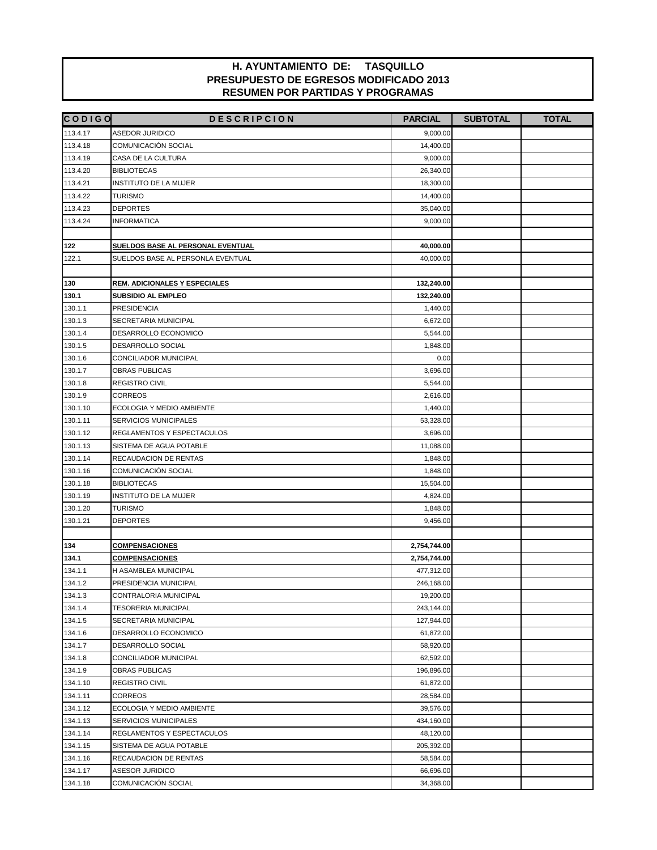| <b>CODIGO</b> | <b>DESCRIPCION</b>                   | <b>PARCIAL</b> | <b>SUBTOTAL</b> | <b>TOTAL</b> |
|---------------|--------------------------------------|----------------|-----------------|--------------|
| 113.4.17      | <b>ASEDOR JURIDICO</b>               | 9,000.00       |                 |              |
| 113.4.18      | COMUNICACIÓN SOCIAL                  | 14,400.00      |                 |              |
| 113.4.19      | CASA DE LA CULTURA                   | 9,000.00       |                 |              |
| 113.4.20      | <b>BIBLIOTECAS</b>                   | 26,340.00      |                 |              |
| 113.4.21      | INSTITUTO DE LA MUJER                | 18,300.00      |                 |              |
| 113.4.22      | <b>TURISMO</b>                       | 14,400.00      |                 |              |
| 113.4.23      | <b>DEPORTES</b>                      | 35,040.00      |                 |              |
| 113.4.24      | <b>INFORMATICA</b>                   | 9,000.00       |                 |              |
|               |                                      |                |                 |              |
| 122           | SUELDOS BASE AL PERSONAL EVENTUAL    | 40,000.00      |                 |              |
| 122.1         | SUELDOS BASE AL PERSONLA EVENTUAL    | 40,000.00      |                 |              |
|               |                                      |                |                 |              |
| 130           | <b>REM. ADICIONALES Y ESPECIALES</b> | 132,240.00     |                 |              |
| 130.1         | SUBSIDIO AL EMPLEO                   | 132,240.00     |                 |              |
| 130.1.1       | <b>PRESIDENCIA</b>                   | 1,440.00       |                 |              |
| 130.1.3       | SECRETARIA MUNICIPAL                 | 6,672.00       |                 |              |
| 130.1.4       | DESARROLLO ECONOMICO                 | 5,544.00       |                 |              |
| 130.1.5       | DESARROLLO SOCIAL                    | 1,848.00       |                 |              |
| 130.1.6       | CONCILIADOR MUNICIPAL                | 0.00           |                 |              |
| 130.1.7       | <b>OBRAS PUBLICAS</b>                | 3,696.00       |                 |              |
| 130.1.8       | <b>REGISTRO CIVIL</b>                | 5,544.00       |                 |              |
| 130.1.9       | <b>CORREOS</b>                       | 2,616.00       |                 |              |
| 130.1.10      | ECOLOGIA Y MEDIO AMBIENTE            | 1,440.00       |                 |              |
| 130.1.11      | SERVICIOS MUNICIPALES                | 53,328.00      |                 |              |
| 130.1.12      | REGLAMENTOS Y ESPECTACULOS           | 3,696.00       |                 |              |
| 130.1.13      | SISTEMA DE AGUA POTABLE              | 11,088.00      |                 |              |
| 130.1.14      | RECAUDACION DE RENTAS                | 1,848.00       |                 |              |
| 130.1.16      | COMUNICACIÓN SOCIAL                  | 1,848.00       |                 |              |
| 130.1.18      | <b>BIBLIOTECAS</b>                   | 15,504.00      |                 |              |
| 130.1.19      | INSTITUTO DE LA MUJER                | 4,824.00       |                 |              |
| 130.1.20      | <b>TURISMO</b>                       | 1,848.00       |                 |              |
| 130.1.21      | <b>DEPORTES</b>                      | 9,456.00       |                 |              |
|               |                                      |                |                 |              |
| 134           | <b>COMPENSACIONES</b>                | 2,754,744.00   |                 |              |
| 134.1         | <b>COMPENSACIONES</b>                | 2,754,744.00   |                 |              |
| 134.1.1       | H ASAMBLEA MUNICIPAL                 | 477,312.00     |                 |              |
| 134.1.2       | PRESIDENCIA MUNICIPAL                | 246,168.00     |                 |              |
| 134.1.3       | CONTRALORIA MUNICIPAL                | 19,200.00      |                 |              |
| 134.1.4       | <b>TESORERIA MUNICIPAL</b>           | 243,144.00     |                 |              |
| 134.1.5       | SECRETARIA MUNICIPAL                 | 127,944.00     |                 |              |
| 134.1.6       | DESARROLLO ECONOMICO                 | 61,872.00      |                 |              |
| 134.1.7       | DESARROLLO SOCIAL                    | 58,920.00      |                 |              |
| 134.1.8       | CONCILIADOR MUNICIPAL                | 62,592.00      |                 |              |
| 134.1.9       | OBRAS PUBLICAS                       | 196,896.00     |                 |              |
| 134.1.10      | <b>REGISTRO CIVIL</b>                | 61,872.00      |                 |              |
| 134.1.11      | CORREOS                              | 28,584.00      |                 |              |
| 134.1.12      | ECOLOGIA Y MEDIO AMBIENTE            | 39,576.00      |                 |              |
| 134.1.13      | SERVICIOS MUNICIPALES                | 434,160.00     |                 |              |
| 134.1.14      | REGLAMENTOS Y ESPECTACULOS           | 48,120.00      |                 |              |
| 134.1.15      | SISTEMA DE AGUA POTABLE              | 205,392.00     |                 |              |
| 134.1.16      | RECAUDACION DE RENTAS                | 58,584.00      |                 |              |
| 134.1.17      | ASESOR JURIDICO                      | 66,696.00      |                 |              |
| 134.1.18      | COMUNICACIÓN SOCIAL                  | 34,368.00      |                 |              |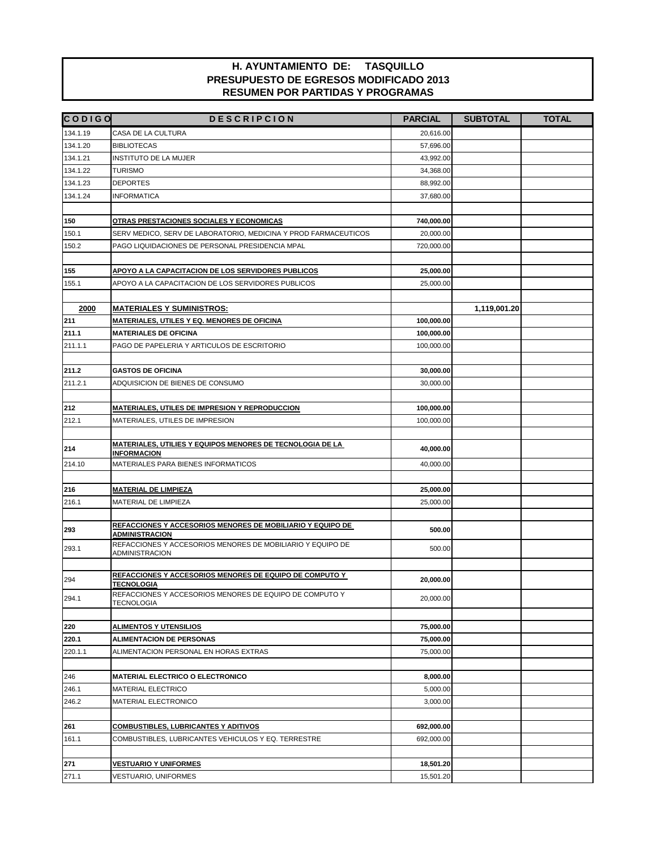| <b>CODIGO</b> | <b>DESCRIPCION</b>                                                                  | <b>PARCIAL</b> | <b>SUBTOTAL</b> | <b>TOTAL</b> |
|---------------|-------------------------------------------------------------------------------------|----------------|-----------------|--------------|
| 134.1.19      | CASA DE LA CULTURA                                                                  | 20,616.00      |                 |              |
| 134.1.20      | <b>BIBLIOTECAS</b>                                                                  | 57,696.00      |                 |              |
| 134.1.21      | INSTITUTO DE LA MUJER                                                               | 43,992.00      |                 |              |
| 134.1.22      | <b>TURISMO</b>                                                                      | 34,368.00      |                 |              |
| 134.1.23      | <b>DEPORTES</b>                                                                     | 88,992.00      |                 |              |
| 134.1.24      | <b>INFORMATICA</b>                                                                  | 37,680.00      |                 |              |
|               |                                                                                     |                |                 |              |
| 150           | OTRAS PRESTACIONES SOCIALES Y ECONOMICAS                                            | 740,000.00     |                 |              |
| 150.1         | SERV MEDICO, SERV DE LABORATORIO, MEDICINA Y PROD FARMACEUTICOS                     | 20,000.00      |                 |              |
| 150.2         | PAGO LIQUIDACIONES DE PERSONAL PRESIDENCIA MPAL                                     | 720,000.00     |                 |              |
|               |                                                                                     |                |                 |              |
| 155           | APOYO A LA CAPACITACION DE LOS SERVIDORES PUBLICOS                                  | 25,000.00      |                 |              |
| 155.1         | APOYO A LA CAPACITACION DE LOS SERVIDORES PUBLICOS                                  | 25,000.00      |                 |              |
|               |                                                                                     |                |                 |              |
| 2000          | <b>MATERIALES Y SUMINISTROS:</b>                                                    |                | 1,119,001.20    |              |
| 211           | MATERIALES, UTILES Y EQ. MENORES DE OFICINA                                         | 100,000.00     |                 |              |
| 211.1         | <b>MATERIALES DE OFICINA</b>                                                        | 100,000.00     |                 |              |
| 211.1.1       | PAGO DE PAPELERIA Y ARTICULOS DE ESCRITORIO                                         | 100,000.00     |                 |              |
|               |                                                                                     |                |                 |              |
| 211.2         | <b>GASTOS DE OFICINA</b>                                                            | 30,000.00      |                 |              |
| 211.2.1       | ADQUISICION DE BIENES DE CONSUMO                                                    | 30,000.00      |                 |              |
|               |                                                                                     |                |                 |              |
| 212           | <b>MATERIALES, UTILES DE IMPRESION Y REPRODUCCION</b>                               | 100,000.00     |                 |              |
| 212.1         | MATERIALES, UTILES DE IMPRESION                                                     | 100,000.00     |                 |              |
|               |                                                                                     |                |                 |              |
| 214           | <u>MATERIALES, UTILIES Y EQUIPOS MENORES DE TECNOLOGIA DE LA </u><br>INFORMACION    | 40,000.00      |                 |              |
| 214.10        | MATERIALES PARA BIENES INFORMATICOS                                                 | 40,000.00      |                 |              |
|               |                                                                                     |                |                 |              |
| 216           | <b>MATERIAL DE LIMPIEZA</b>                                                         | 25,000.00      |                 |              |
| 216.1         | MATERIAL DE LIMPIEZA                                                                | 25,000.00      |                 |              |
|               |                                                                                     |                |                 |              |
| 293           | REFACCIONES Y ACCESORIOS MENORES DE MOBILIARIO Y EQUIPO DE<br><b>ADMINISTRACION</b> | 500.00         |                 |              |
| 293.1         | REFACCIONES Y ACCESORIOS MENORES DE MOBILIARIO Y EQUIPO DE                          | 500.00         |                 |              |
|               | <b>ADMINISTRACION</b>                                                               |                |                 |              |
|               | REFACCIONES Y ACCESORIOS MENORES DE EQUIPO DE COMPUTO Y                             |                |                 |              |
| 294           | <b>TECNOLOGIA</b>                                                                   | 20,000.00      |                 |              |
| 294.1         | REFACCIONES Y ACCESORIOS MENORES DE EQUIPO DE COMPUTO Y<br><b>TECNOLOGIA</b>        | 20,000.00      |                 |              |
|               |                                                                                     |                |                 |              |
| 220           | <b>ALIMENTOS Y UTENSILIOS</b>                                                       | 75,000.00      |                 |              |
| 220.1         | <b>ALIMENTACION DE PERSONAS</b>                                                     | 75,000.00      |                 |              |
| 220.1.1       | ALIMENTACION PERSONAL EN HORAS EXTRAS                                               | 75,000.00      |                 |              |
|               |                                                                                     |                |                 |              |
| 246           | MATERIAL ELECTRICO O ELECTRONICO                                                    | 8,000.00       |                 |              |
| 246.1         | MATERIAL ELECTRICO                                                                  | 5,000.00       |                 |              |
| 246.2         | MATERIAL ELECTRONICO                                                                | 3,000.00       |                 |              |
|               |                                                                                     |                |                 |              |
| 261           | <b>COMBUSTIBLES, LUBRICANTES Y ADITIVOS</b>                                         | 692,000.00     |                 |              |
| 161.1         | COMBUSTIBLES, LUBRICANTES VEHICULOS Y EQ. TERRESTRE                                 | 692,000.00     |                 |              |
|               |                                                                                     |                |                 |              |
| 271           | <b>VESTUARIO Y UNIFORMES</b>                                                        | 18,501.20      |                 |              |
| 271.1         | VESTUARIO, UNIFORMES                                                                | 15,501.20      |                 |              |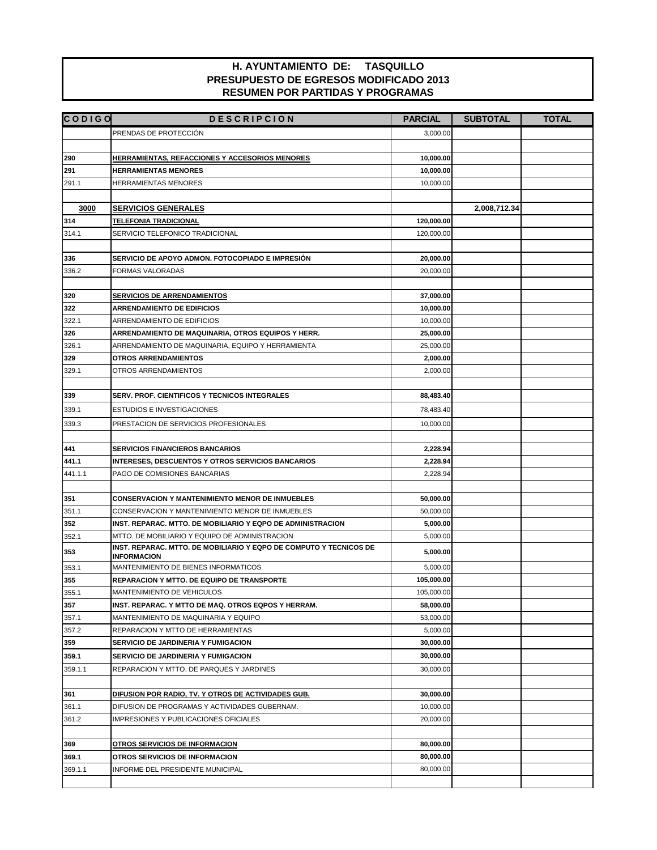| <b>CODIGO</b> | <b>DESCRIPCION</b>                                                                                            | <b>PARCIAL</b> | <b>SUBTOTAL</b> | <b>TOTAL</b> |
|---------------|---------------------------------------------------------------------------------------------------------------|----------------|-----------------|--------------|
|               | PRENDAS DE PROTECCIÓN                                                                                         | 3,000.00       |                 |              |
|               |                                                                                                               |                |                 |              |
| 290           | <b>HERRAMIENTAS, REFACCIONES Y ACCESORIOS MENORES</b>                                                         | 10,000.00      |                 |              |
| 291           | <b>HERRAMIENTAS MENORES</b>                                                                                   | 10,000.00      |                 |              |
| 291.1         | <b>HERRAMIENTAS MENORES</b>                                                                                   | 10,000.00      |                 |              |
|               |                                                                                                               |                |                 |              |
| 3000          | <b>SERVICIOS GENERALES</b>                                                                                    |                | 2,008,712.34    |              |
| 314           | <b>TELEFONIA TRADICIONAL</b>                                                                                  | 120,000.00     |                 |              |
| 314.1         | SERVICIO TELEFONICO TRADICIONAL                                                                               | 120,000.00     |                 |              |
|               |                                                                                                               |                |                 |              |
| 336           | SERVICIO DE APOYO ADMON. FOTOCOPIADO E IMPRESIÓN                                                              | 20,000.00      |                 |              |
| 336.2         | FORMAS VALORADAS                                                                                              | 20,000.00      |                 |              |
|               |                                                                                                               |                |                 |              |
| 320           | <b>SERVICIOS DE ARRENDAMIENTOS</b>                                                                            | 37,000.00      |                 |              |
| 322           | <b>ARRENDAMIENTO DE EDIFICIOS</b>                                                                             | 10,000.00      |                 |              |
| 322.1         | ARRENDAMIENTO DE EDIFICIOS                                                                                    | 10,000.00      |                 |              |
| 326           | ARRENDAMIENTO DE MAQUINARIA, OTROS EQUIPOS Y HERR.                                                            | 25,000.00      |                 |              |
| 326.1         | ARRENDAMIENTO DE MAQUINARIA, EQUIPO Y HERRAMIENTA                                                             | 25,000.00      |                 |              |
| 329           | <b>OTROS ARRENDAMIENTOS</b>                                                                                   | 2,000.00       |                 |              |
| 329.1         | OTROS ARRENDAMIENTOS                                                                                          | 2,000.00       |                 |              |
|               |                                                                                                               |                |                 |              |
| 339           | SERV. PROF. CIENTIFICOS Y TECNICOS INTEGRALES                                                                 | 88,483.40      |                 |              |
| 339.1         | <b>ESTUDIOS E INVESTIGACIONES</b>                                                                             | 78,483.40      |                 |              |
| 339.3         | PRESTACION DE SERVICIOS PROFESIONALES                                                                         | 10,000.00      |                 |              |
|               |                                                                                                               |                |                 |              |
| 441           | <b>SERVICIOS FINANCIEROS BANCARIOS</b>                                                                        | 2,228.94       |                 |              |
| 441.1         | <b>INTERESES, DESCUENTOS Y OTROS SERVICIOS BANCARIOS</b>                                                      | 2,228.94       |                 |              |
| 441.1.1       | PAGO DE COMISIONES BANCARIAS                                                                                  | 2,228.94       |                 |              |
|               |                                                                                                               |                |                 |              |
| 351           | <b>CONSERVACION Y MANTENIMIENTO MENOR DE INMUEBLES</b>                                                        | 50,000.00      |                 |              |
| 351.1         | CONSERVACION Y MANTENIMIENTO MENOR DE INMUEBLES                                                               | 50,000.00      |                 |              |
| 352           | INST. REPARAC. MTTO. DE MOBILIARIO Y EQPO DE ADMINISTRACION<br>MTTO. DE MOBILIARIO Y EQUIPO DE ADMINISTRACION | 5,000.00       |                 |              |
| 352.1         | INST. REPARAC. MTTO. DE MOBILIARIO Y EQPO DE COMPUTO Y TECNICOS DE                                            | 5,000.00       |                 |              |
| 353           | <b>INFORMACION</b>                                                                                            | 5,000.00       |                 |              |
| 353.1         | MANTENIMIENTO DE BIENES INFORMATICOS                                                                          | 5,000.00       |                 |              |
| 355           | <b>REPARACION Y MTTO. DE EQUIPO DE TRANSPORTE</b>                                                             | 105,000.00     |                 |              |
| 355.1         | MANTENIMIENTO DE VEHICULOS                                                                                    | 105,000.00     |                 |              |
| 357           | INST. REPARAC. Y MTTO DE MAQ. OTROS EQPOS Y HERRAM.                                                           | 58,000.00      |                 |              |
| 357.1         | MANTENIMIENTO DE MAQUINARIA Y EQUIPO                                                                          | 53,000.00      |                 |              |
| 357.2         | REPARACION Y MTTO DE HERRAMIENTAS                                                                             | 5,000.00       |                 |              |
| 359           | SERVICIO DE JARDINERIA Y FUMIGACION                                                                           | 30,000.00      |                 |              |
| 359.1         | SERVICIO DE JARDINERIA Y FUMIGACION                                                                           | 30,000.00      |                 |              |
| 359.1.1       | REPARACION Y MTTO. DE PARQUES Y JARDINES                                                                      | 30,000.00      |                 |              |
|               |                                                                                                               |                |                 |              |
| 361           | DIFUSION POR RADIO, TV. Y OTROS DE ACTIVIDADES GUB.                                                           | 30,000.00      |                 |              |
| 361.1         | DIFUSION DE PROGRAMAS Y ACTIVIDADES GUBERNAM.                                                                 | 10,000.00      |                 |              |
| 361.2         | <b>IMPRESIONES Y PUBLICACIONES OFICIALES</b>                                                                  | 20,000.00      |                 |              |
|               |                                                                                                               |                |                 |              |
| 369           | <b>OTROS SERVICIOS DE INFORMACION</b>                                                                         | 80,000.00      |                 |              |
| 369.1         | <b>OTROS SERVICIOS DE INFORMACION</b>                                                                         | 80,000.00      |                 |              |
| 369.1.1       | INFORME DEL PRESIDENTE MUNICIPAL                                                                              | 80,000.00      |                 |              |
|               |                                                                                                               |                |                 |              |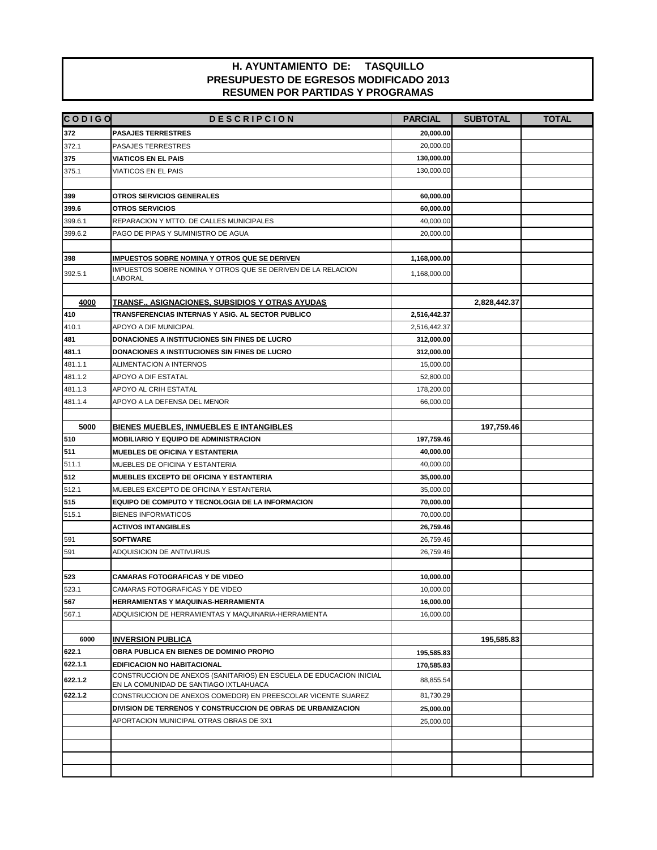| <b>CODIGO</b>      | <b>DESCRIPCION</b>                                                                                            | <b>PARCIAL</b>          | <b>SUBTOTAL</b> | <b>TOTAL</b> |
|--------------------|---------------------------------------------------------------------------------------------------------------|-------------------------|-----------------|--------------|
| 372                | <b>PASAJES TERRESTRES</b>                                                                                     | 20,000.00               |                 |              |
| 372.1              | PASAJES TERRESTRES                                                                                            | 20,000.00               |                 |              |
| 375                | <b>VIATICOS EN EL PAIS</b>                                                                                    | 130,000.00              |                 |              |
| 375.1              | VIATICOS EN EL PAIS                                                                                           | 130,000.00              |                 |              |
|                    |                                                                                                               |                         |                 |              |
| 399                | OTROS SERVICIOS GENERALES                                                                                     | 60,000.00               |                 |              |
| 399.6              | <b>OTROS SERVICIOS</b>                                                                                        | 60,000.00               |                 |              |
| 399.6.1            | REPARACION Y MTTO. DE CALLES MUNICIPALES                                                                      | 40,000.00               |                 |              |
| 399.6.2            | PAGO DE PIPAS Y SUMINISTRO DE AGUA                                                                            | 20,000.00               |                 |              |
|                    |                                                                                                               |                         |                 |              |
| 398                | <b>IMPUESTOS SOBRE NOMINA Y OTROS QUE SE DERIVEN</b>                                                          | 1,168,000.00            |                 |              |
| 392.5.1            | IMPUESTOS SOBRE NOMINA Y OTROS QUE SE DERIVEN DE LA RELACION                                                  | 1,168,000.00            |                 |              |
|                    | LABORAL                                                                                                       |                         |                 |              |
|                    |                                                                                                               |                         |                 |              |
| 4000               | <u>TRANSF., ASIGNACIONES, SUBSIDIOS Y OTRAS AYUDAS</u>                                                        |                         | 2,828,442.37    |              |
| 410                | TRANSFERENCIAS INTERNAS Y ASIG. AL SECTOR PUBLICO                                                             | 2,516,442.37            |                 |              |
| 410.1              | APOYO A DIF MUNICIPAL                                                                                         | 2,516,442.37            |                 |              |
| 481                | DONACIONES A INSTITUCIONES SIN FINES DE LUCRO<br>DONACIONES A INSTITUCIONES SIN FINES DE LUCRO                | 312,000.00              |                 |              |
| 481.1              |                                                                                                               | 312,000.00              |                 |              |
| 481.1.1            | ALIMENTACION A INTERNOS                                                                                       | 15,000.00               |                 |              |
| 481.1.2<br>481.1.3 | APOYO A DIF ESTATAL<br>APOYO AL CRIH ESTATAL                                                                  | 52,800.00<br>178,200.00 |                 |              |
| 481.1.4            | APOYO A LA DEFENSA DEL MENOR                                                                                  | 66,000.00               |                 |              |
|                    |                                                                                                               |                         |                 |              |
| 5000               | <b>BIENES MUEBLES, INMUEBLES E INTANGIBLES</b>                                                                |                         | 197,759.46      |              |
| 510                | <b>MOBILIARIO Y EQUIPO DE ADMINISTRACION</b>                                                                  | 197,759.46              |                 |              |
| 511                | <b>MUEBLES DE OFICINA Y ESTANTERIA</b>                                                                        | 40,000.00               |                 |              |
| 511.1              | MUEBLES DE OFICINA Y ESTANTERIA                                                                               | 40,000.00               |                 |              |
| 512                | <b>MUEBLES EXCEPTO DE OFICINA Y ESTANTERIA</b>                                                                | 35,000.00               |                 |              |
| 512.1              | MUEBLES EXCEPTO DE OFICINA Y ESTANTERIA                                                                       | 35,000.00               |                 |              |
| 515                | EQUIPO DE COMPUTO Y TECNOLOGIA DE LA INFORMACION                                                              | 70,000.00               |                 |              |
| 515.1              | <b>BIENES INFORMATICOS</b>                                                                                    | 70,000.00               |                 |              |
|                    | <b>ACTIVOS INTANGIBLES</b>                                                                                    | 26,759.46               |                 |              |
| 591                | <b>SOFTWARE</b>                                                                                               | 26,759.46               |                 |              |
| 591                | ADQUISICION DE ANTIVURUS                                                                                      | 26,759.46               |                 |              |
|                    |                                                                                                               |                         |                 |              |
| 523                | <b>CAMARAS FOTOGRAFICAS Y DE VIDEO</b>                                                                        | 10,000.00               |                 |              |
| 523.1              | CAMARAS FOTOGRAFICAS Y DE VIDEO                                                                               | 10,000.00               |                 |              |
| 567                | HERRAMIENTAS Y MAQUINAS-HERRAMIENTA                                                                           | 16,000.00               |                 |              |
| 567.1              | ADQUISICION DE HERRAMIENTAS Y MAQUINARIA-HERRAMIENTA                                                          | 16.000.00               |                 |              |
|                    |                                                                                                               |                         |                 |              |
| 6000               | <b>INVERSION PUBLICA</b>                                                                                      |                         | 195,585.83      |              |
| 622.1              | OBRA PUBLICA EN BIENES DE DOMINIO PROPIO                                                                      | 195,585.83              |                 |              |
| 622.1.1            | <b>EDIFICACION NO HABITACIONAL</b>                                                                            | 170,585.83              |                 |              |
| 622.1.2            | CONSTRUCCION DE ANEXOS (SANITARIOS) EN ESCUELA DE EDUCACION INICIAL<br>EN LA COMUNIDAD DE SANTIAGO IXTLAHUACA | 88,855.54               |                 |              |
| 622.1.2            | CONSTRUCCION DE ANEXOS COMEDOR) EN PREESCOLAR VICENTE SUAREZ                                                  | 81,730.29               |                 |              |
|                    | DIVISION DE TERRENOS Y CONSTRUCCION DE OBRAS DE URBANIZACION                                                  | 25,000.00               |                 |              |
|                    | APORTACION MUNICIPAL OTRAS OBRAS DE 3X1                                                                       | 25,000.00               |                 |              |
|                    |                                                                                                               |                         |                 |              |
|                    |                                                                                                               |                         |                 |              |
|                    |                                                                                                               |                         |                 |              |
|                    |                                                                                                               |                         |                 |              |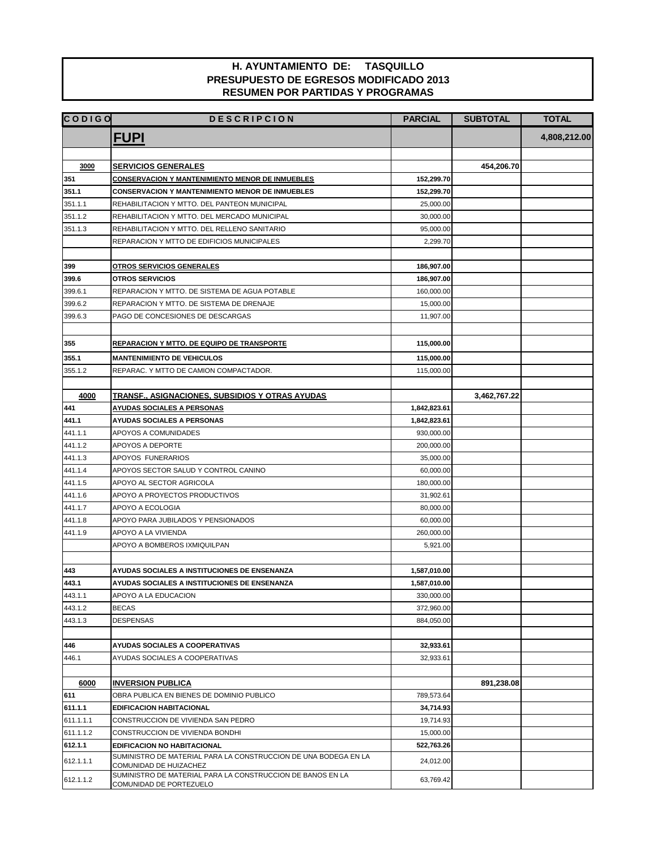| <b>CODIGO</b>      | <b>DESCRIPCION</b>                                                                        | <b>PARCIAL</b> | <b>SUBTOTAL</b> | <b>TOTAL</b> |
|--------------------|-------------------------------------------------------------------------------------------|----------------|-----------------|--------------|
|                    | <b>FUPI</b>                                                                               |                |                 | 4,808,212.00 |
|                    |                                                                                           |                |                 |              |
| 3000               | <b>SERVICIOS GENERALES</b>                                                                |                | 454,206.70      |              |
| 351                | <b>CONSERVACION Y MANTENIMIENTO MENOR DE INMUEBLES</b>                                    | 152,299.70     |                 |              |
| 351.1              | <b>CONSERVACION Y MANTENIMIENTO MENOR DE INMUEBLES</b>                                    | 152,299.70     |                 |              |
| 351.1.1<br>351.1.2 | REHABILITACION Y MTTO. DEL PANTEON MUNICIPAL                                              | 25,000.00      |                 |              |
|                    | REHABILITACION Y MTTO. DEL MERCADO MUNICIPAL                                              | 30,000.00      |                 |              |
| 351.1.3            | REHABILITACION Y MTTO. DEL RELLENO SANITARIO                                              | 95,000.00      |                 |              |
|                    | REPARACION Y MTTO DE EDIFICIOS MUNICIPALES                                                | 2.299.70       |                 |              |
| 399                | OTROS SERVICIOS GENERALES                                                                 | 186,907.00     |                 |              |
| 399.6              | <b>OTROS SERVICIOS</b>                                                                    | 186,907.00     |                 |              |
| 399.6.1            | REPARACION Y MTTO. DE SISTEMA DE AGUA POTABLE                                             | 160,000.00     |                 |              |
|                    |                                                                                           |                |                 |              |
| 399.6.2            | REPARACION Y MTTO. DE SISTEMA DE DRENAJE                                                  | 15,000.00      |                 |              |
| 399.6.3            | PAGO DE CONCESIONES DE DESCARGAS                                                          | 11,907.00      |                 |              |
| 355                | <b>REPARACION Y MTTO. DE EQUIPO DE TRANSPORTE</b>                                         | 115,000.00     |                 |              |
| 355.1              | <b>MANTENIMIENTO DE VEHICULOS</b>                                                         | 115,000.00     |                 |              |
| 355.1.2            | REPARAC. Y MTTO DE CAMION COMPACTADOR.                                                    | 115,000.00     |                 |              |
|                    |                                                                                           |                |                 |              |
| 4000               | <u>TRANSF., ASIGNACIONES, SUBSIDIOS Y OTRAS AYUDAS</u>                                    |                | 3,462,767.22    |              |
| 441                | <b>AYUDAS SOCIALES A PERSONAS</b>                                                         | 1,842,823.61   |                 |              |
| 441.1              | <b>AYUDAS SOCIALES A PERSONAS</b>                                                         | 1,842,823.61   |                 |              |
| 441.1.1            | APOYOS A COMUNIDADES                                                                      | 930,000.00     |                 |              |
| 441.1.2            | APOYOS A DEPORTE                                                                          | 200,000.00     |                 |              |
| 441.1.3            | APOYOS FUNERARIOS                                                                         | 35,000.00      |                 |              |
| 441.1.4            | APOYOS SECTOR SALUD Y CONTROL CANINO                                                      | 60,000.00      |                 |              |
| 441.1.5            | APOYO AL SECTOR AGRICOLA                                                                  | 180,000.00     |                 |              |
| 441.1.6            | APOYO A PROYECTOS PRODUCTIVOS                                                             | 31,902.61      |                 |              |
| 441.1.7            | APOYO A ECOLOGIA                                                                          | 80,000.00      |                 |              |
| 441.1.8            | APOYO PARA JUBILADOS Y PENSIONADOS                                                        | 60,000.00      |                 |              |
| 441.1.9            | APOYO A LA VIVIENDA                                                                       | 260,000.00     |                 |              |
|                    | APOYO A BOMBEROS IXMIQUILPAN                                                              | 5,921.00       |                 |              |
|                    |                                                                                           |                |                 |              |
| 443                | AYUDAS SOCIALES A INSTITUCIONES DE ENSENANZA                                              | 1,587,010.00   |                 |              |
| 443.1              | AYUDAS SOCIALES A INSTITUCIONES DE ENSENANZA                                              | 1,587,010.00   |                 |              |
| 443.1.1            | APOYO A LA EDUCACION                                                                      | 330,000.00     |                 |              |
| 443.1.2            | <b>BECAS</b>                                                                              | 372,960.00     |                 |              |
| 443.1.3            | <b>DESPENSAS</b>                                                                          | 884,050.00     |                 |              |
|                    |                                                                                           |                |                 |              |
| 446                | AYUDAS SOCIALES A COOPERATIVAS                                                            | 32,933.61      |                 |              |
| 446.1              | AYUDAS SOCIALES A COOPERATIVAS                                                            | 32.933.61      |                 |              |
|                    |                                                                                           |                |                 |              |
| 6000               | <b>INVERSION PUBLICA</b>                                                                  |                | 891,238.08      |              |
| 611                | OBRA PUBLICA EN BIENES DE DOMINIO PUBLICO                                                 | 789,573.64     |                 |              |
| 611.1.1            | <b>EDIFICACION HABITACIONAL</b>                                                           | 34,714.93      |                 |              |
| 611.1.1.1          | CONSTRUCCION DE VIVIENDA SAN PEDRO                                                        | 19,714.93      |                 |              |
| 611.1.1.2          | CONSTRUCCION DE VIVIENDA BONDHI                                                           | 15,000.00      |                 |              |
| 612.1.1            | EDIFICACION NO HABITACIONAL                                                               | 522,763.26     |                 |              |
| 612.1.1.1          | SUMINISTRO DE MATERIAL PARA LA CONSTRUCCION DE UNA BODEGA EN LA<br>COMUNIDAD DE HUIZACHEZ | 24,012.00      |                 |              |
| 612.1.1.2          | SUMINISTRO DE MATERIAL PARA LA CONSTRUCCION DE BANOS EN LA<br>COMUNIDAD DE PORTEZUELO     | 63,769.42      |                 |              |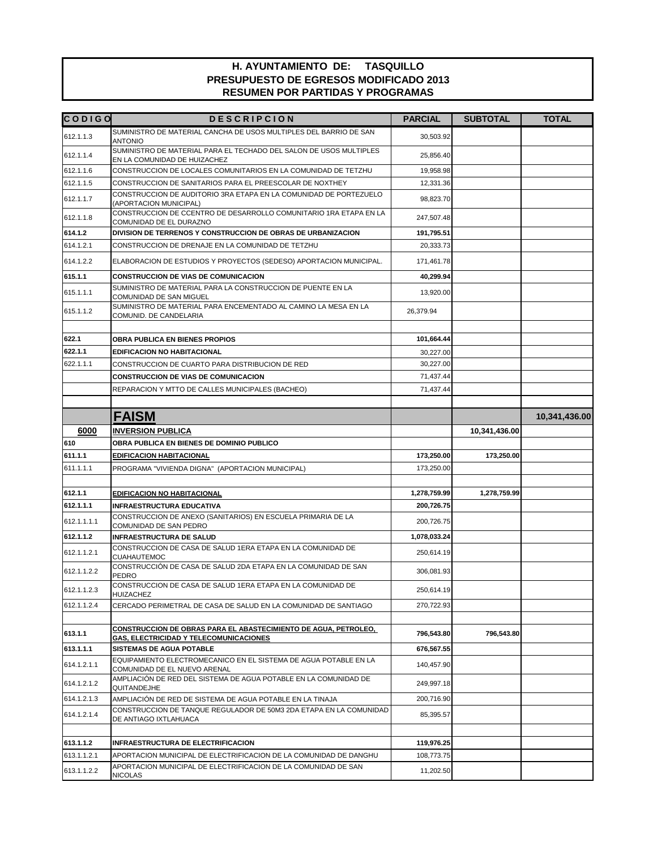| <b>CODIGO</b> | <b>DESCRIPCION</b>                                                                                                | <b>PARCIAL</b> | <b>SUBTOTAL</b> | <b>TOTAL</b>  |
|---------------|-------------------------------------------------------------------------------------------------------------------|----------------|-----------------|---------------|
| 612.1.1.3     | SUMINISTRO DE MATERIAL CANCHA DE USOS MULTIPLES DEL BARRIO DE SAN<br><b>ANTONIO</b>                               | 30,503.92      |                 |               |
| 612.1.1.4     | SUMINISTRO DE MATERIAL PARA EL TECHADO DEL SALON DE USOS MULTIPLES<br>EN LA COMUNIDAD DE HUIZACHEZ                | 25,856.40      |                 |               |
| 612.1.1.6     | CONSTRUCCION DE LOCALES COMUNITARIOS EN LA COMUNIDAD DE TETZHU                                                    | 19,958.98      |                 |               |
| 612.1.1.5     | CONSTRUCCION DE SANITARIOS PARA EL PREESCOLAR DE NOXTHEY                                                          | 12,331.36      |                 |               |
| 612.1.1.7     | CONSTRUCCION DE AUDITORIO 3RA ETAPA EN LA COMUNIDAD DE PORTEZUELO<br>(APORTACION MUNICIPAL)                       | 98,823.70      |                 |               |
| 612.1.1.8     | CONSTRUCCION DE CCENTRO DE DESARROLLO COMUNITARIO 1RA ETAPA EN LA<br>COMUNIDAD DE EL DURAZNO                      | 247,507.48     |                 |               |
| 614.1.2       | DIVISION DE TERRENOS Y CONSTRUCCION DE OBRAS DE URBANIZACION                                                      | 191,795.51     |                 |               |
| 614.1.2.1     | CONSTRUCCION DE DRENAJE EN LA COMUNIDAD DE TETZHU                                                                 | 20,333.73      |                 |               |
| 614.1.2.2     | ELABORACION DE ESTUDIOS Y PROYECTOS (SEDESO) APORTACION MUNICIPAL.                                                | 171,461.78     |                 |               |
| 615.1.1       | <b>CONSTRUCCION DE VIAS DE COMUNICACION</b>                                                                       | 40,299.94      |                 |               |
| 615.1.1.1     | SUMINISTRO DE MATERIAL PARA LA CONSTRUCCION DE PUENTE EN LA<br>COMUNIDAD DE SAN MIGUEL                            | 13,920.00      |                 |               |
| 615.1.1.2     | SUMINISTRO DE MATERIAL PARA ENCEMENTADO AL CAMINO LA MESA EN LA<br>COMUNID. DE CANDELARIA                         | 26,379.94      |                 |               |
| 622.1         | OBRA PUBLICA EN BIENES PROPIOS                                                                                    | 101,664.44     |                 |               |
| 622.1.1       | <b>EDIFICACION NO HABITACIONAL</b>                                                                                | 30,227.00      |                 |               |
| 622.1.1.1     | CONSTRUCCION DE CUARTO PARA DISTRIBUCION DE RED                                                                   | 30,227.00      |                 |               |
|               | <b>CONSTRUCCION DE VIAS DE COMUNICACION</b>                                                                       | 71,437.44      |                 |               |
|               | REPARACION Y MTTO DE CALLES MUNICIPALES (BACHEO)                                                                  | 71,437.44      |                 |               |
|               |                                                                                                                   |                |                 |               |
|               | <b>FAISM</b>                                                                                                      |                |                 | 10,341,436.00 |
| 6000          | <b>INVERSION PUBLICA</b>                                                                                          |                | 10,341,436.00   |               |
| 610           | OBRA PUBLICA EN BIENES DE DOMINIO PUBLICO                                                                         |                |                 |               |
| 611.1.1       | <b>EDIFICACION HABITACIONAL</b>                                                                                   | 173,250.00     | 173,250.00      |               |
| 611.1.1.1     | PROGRAMA "VIVIENDA DIGNA" (APORTACION MUNICIPAL)                                                                  | 173,250.00     |                 |               |
|               |                                                                                                                   |                |                 |               |
| 612.1.1       | EDIFICACION NO HABITACIONAL                                                                                       | 1,278,759.99   | 1,278,759.99    |               |
| 612.1.1.1     | <b>INFRAESTRUCTURA EDUCATIVA</b>                                                                                  | 200,726.75     |                 |               |
| 612.1.1.1.1   | CONSTRUCCION DE ANEXO (SANITARIOS) EN ESCUELA PRIMARIA DE LA<br>COMUNIDAD DE SAN PEDRO                            | 200,726.75     |                 |               |
| 612.1.1.2     | <b>INFRAESTRUCTURA DE SALUD</b>                                                                                   | 1,078,033.24   |                 |               |
| 612.1.1.2.1   | CONSTRUCCION DE CASA DE SALUD 1ERA ETAPA EN LA COMUNIDAD DE<br>CUAHAUTEMOC                                        | 250,614.19     |                 |               |
| 612.1.1.2.2   | CONSTRUCCIÓN DE CASA DE SALUD 2DA ETAPA EN LA COMUNIDAD DE SAN<br>PEDRO                                           | 306,081.93     |                 |               |
| 612.1.1.2.3   | CONSTRUCCION DE CASA DE SALUD 1ERA ETAPA EN LA COMUNIDAD DE<br>HUIZACHEZ                                          | 250,614.19     |                 |               |
| 612.1.1.2.4   | CERCADO PERIMETRAL DE CASA DE SALUD EN LA COMUNIDAD DE SANTIAGO                                                   | 270,722.93     |                 |               |
| 613.1.1       | <u>CONSTRUCCION DE OBRAS PARA EL ABASTECIMIENTO DE AGUA, PETROLEO, </u><br>GAS, ELECTRICIDAD Y TELECOMUNICACIONES | 796,543.80     | 796,543.80      |               |
| 613.1.1.1     | SISTEMAS DE AGUA POTABLE                                                                                          | 676,567.55     |                 |               |
| 614.1.2.1.1   | EQUIPAMIENTO ELECTROMECANICO EN EL SISTEMA DE AGUA POTABLE EN LA<br>COMUNIDAD DE EL NUEVO ARENAL                  | 140,457.90     |                 |               |
| 614.1.2.1.2   | AMPLIACIÓN DE RED DEL SISTEMA DE AGUA POTABLE EN LA COMUNIDAD DE<br>QUITANDEJHE                                   | 249,997.18     |                 |               |
| 614.1.2.1.3   | AMPLIACIÓN DE RED DE SISTEMA DE AGUA POTABLE EN LA TINAJA                                                         | 200,716.90     |                 |               |
| 614.1.2.1.4   | CONSTRUCCION DE TANQUE REGULADOR DE 50M3 2DA ETAPA EN LA COMUNIDAD<br>DE ANTIAGO IXTLAHUACA                       | 85,395.57      |                 |               |
|               |                                                                                                                   |                |                 |               |
| 613.1.1.2     | <b>INFRAESTRUCTURA DE ELECTRIFICACION</b>                                                                         | 119,976.25     |                 |               |
| 613.1.1.2.1   | APORTACION MUNICIPAL DE ELECTRIFICACION DE LA COMUNIDAD DE DANGHU                                                 | 108,773.75     |                 |               |
| 613.1.1.2.2   | APORTACION MUNICIPAL DE ELECTRIFICACION DE LA COMUNIDAD DE SAN<br>NICOLAS                                         | 11,202.50      |                 |               |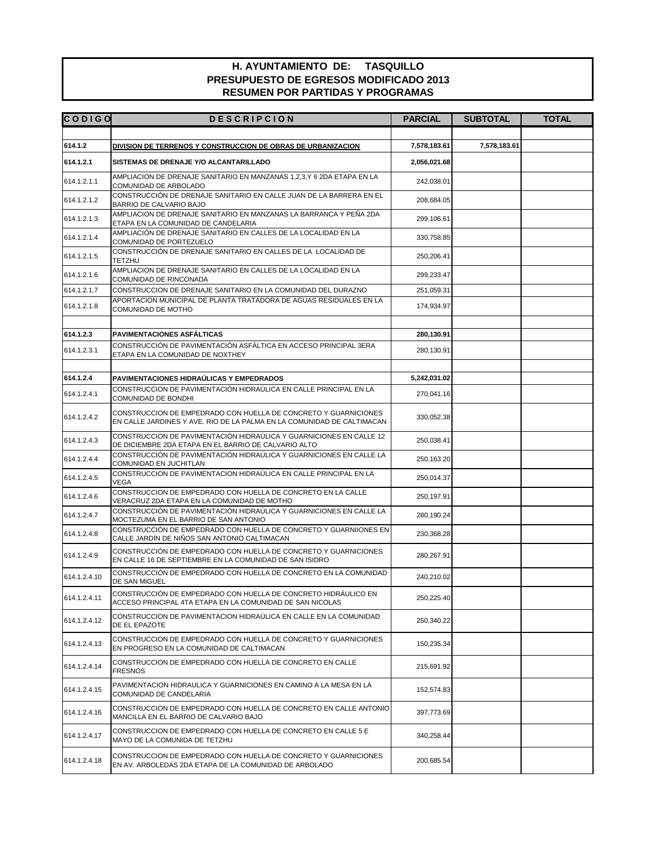| <b>CODIGO</b> | <b>DESCRIPCION</b>                                                                                                                        | <b>PARCIAL</b> | <b>SUBTOTAL</b> | <b>TOTAL</b> |
|---------------|-------------------------------------------------------------------------------------------------------------------------------------------|----------------|-----------------|--------------|
|               |                                                                                                                                           |                |                 |              |
| 614.1.2       | <b>DIVISION DE TERRENOS Y CONSTRUCCION DE OBRAS DE URBANIZACION</b>                                                                       | 7,578,183.61   | 7,578,183.61    |              |
| 614.1.2.1     | SISTEMAS DE DRENAJE Y/O ALCANTARILLADO                                                                                                    | 2,056,021.68   |                 |              |
| 614.1.2.1.1   | AMPLIACION DE DRENAJE SANITARIO EN MANZANAS 1,2,3,Y 6 2DA ETAPA EN LA<br>COMUNIDAD DE ARBOLADO                                            | 242,038.01     |                 |              |
| 614.1.2.1.2   | CONSTRUCCIÓN DE DRENAJE SANITARIO EN CALLE JUAN DE LA BARRERA EN EL<br>BARRIO DE CALVARIO BAJO                                            | 208,684.05     |                 |              |
| 614.1.2.1.3   | AMPLIACION DE DRENAJE SANITARIO EN MANZANAS LA BARRANCA Y PEÑA 2DA<br>ETAPA EN LA COMUNIDAD DE CANDELARIA                                 | 299,106.61     |                 |              |
| 614.1.2.1.4   | AMPLIACIÓN DE DRENAJE SANITARIO EN CALLES DE LA LOCALIDAD EN LA<br>COMUNIDAD DE PORTEZUELO                                                | 330,758.85     |                 |              |
| 614.1.2.1.5   | CONSTRUCCIÓN DE DRENAJE SANITARIO EN CALLES DE LA LOCALIDAD DE<br>TETZHU                                                                  | 250,206.41     |                 |              |
| 614.1.2.1.6   | AMPLIACION DE DRENAJE SANITARIO EN CALLES DE LA LOCALIDAD EN LA<br>COMUNIDAD DE RINCONADA                                                 | 299,233.47     |                 |              |
| 614.1.2.1.7   | CONSTRUCCION DE DRENAJE SANITARIO EN LA COMUNIDAD DEL DURAZNO                                                                             | 251,059.31     |                 |              |
| 614.1.2.1.8   | APORTACION MUNICIPAL DE PLANTA TRATADORA DE AGUAS RESIDUALES EN LA<br>COMUNIDAD DE MOTHO                                                  | 174,934.97     |                 |              |
|               |                                                                                                                                           |                |                 |              |
| 614.1.2.3     | <b>PAVIMENTACIONES ASFÁLTICAS</b><br>CONSTRUCCIÓN DE PAVIMENTACIÓN ASFÁLTICA EN ACCESO PRINCIPAL 3ERA                                     | 280,130.91     |                 |              |
| 614.1.2.3.1   | ETAPA EN LA COMUNIDAD DE NOXTHEY                                                                                                          | 280,130.91     |                 |              |
| 614.1.2.4     | PAVIMENTACIONES HIDRAÚLICAS Y EMPEDRADOS                                                                                                  | 5,242,031.02   |                 |              |
| 614.1.2.4.1   | CONSTRUCCION DE PAVIMENTACIÓN HIDRAÚLICA EN CALLE PRINCIPAL EN LA                                                                         | 270,041.16     |                 |              |
|               | COMUNIDAD DE BONDHI                                                                                                                       |                |                 |              |
| 614.1.2.4.2   | CONSTRUCCION DE EMPEDRADO CON HUELLA DE CONCRETO Y GUARNICIONES<br>EN CALLE JARDINES Y AVE. RIO DE LA PALMA EN LA COMUNIDAD DE CALTIMACAN | 330,052.38     |                 |              |
| 614.1.2.4.3   | CONSTRUCCION DE PAVIMENTACIÓN HIDRAÚLICA Y GUARNICIONES EN CALLE 12<br>DE DICIEMBRE 2DA ETAPA EN EL BARRIO DE CALVARIO ALTO               | 250,038.41     |                 |              |
| 614.1.2.4.4   | CONSTRUCCIÓN DE PAVIMENTACIÓN HIDRAÚLICA Y GUARNICIONES EN CALLE LA<br>COMUNIDAD EN JUCHITLAN                                             | 250,163.20     |                 |              |
| 614.1.2.4.5   | CONSTRUCCION DE PAVIMENTACION HIDRAÚLICA EN CALLE PRINCIPAL EN LA<br><b>VEGA</b>                                                          | 250,014.37     |                 |              |
| 614.1.2.4.6   | CONSTRUCCION DE EMPEDRADO CON HUELLA DE CONCRETO EN LA CALLE<br>VERACRUZ 2DA ETAPA EN LA COMUNIDAD DE MOTHO                               | 250,197.91     |                 |              |
| 614.1.2.4.7   | CONSTRUCCIÓN DE PAVIMENTACIÓN HIDRAÚLICA Y GUARNICIONES EN CALLE LA<br>MOCTEZUMA EN EL BARRIO DE SAN ANTONIO                              | 280,190.24     |                 |              |
| 614.1.2.4.8   | CONSTRUCCIÓN DE EMPEDRADO CON HUELLA DE CONCRETO Y GUARNIIONES EN<br>CALLE JARDÍN DE NIÑOS SAN ANTONIO CALTIMACAN                         | 230,368.28     |                 |              |
| 614.1.2.4.9   | CONSTRUCCIÓN DE EMPEDRADO CON HUELLA DE CONCRETO Y GUARNICIONES<br>EN CALLE 16 DE SEPTIEMBRE EN LA COMUNIDAD DE SAN ISIDRO                | 280,267.91     |                 |              |
| 614.1.2.4.10  | CONSTRUCCIÓN DE EMPEDRADO CON HUELLA DE CONCRETO EN LA COMUNIDAD<br>DE SAN MIGUEL                                                         | 240,210.02     |                 |              |
| 614.1.2.4.11  | CONSTRUCCIÓN DE EMPEDRADO CON HUELLA DE CONCRETO HIDRÁULICO EN<br>ACCESO PRINCIPAL 4TA ETAPA EN LA COMUNIDAD DE SAN NICOLAS               | 250,225.40     |                 |              |
| 614.1.2.4.12  | CONSTRUCCION DE PAVIMENTACION HIDRAÚLICA EN CALLE EN LA COMUNIDAD<br>DE EL EPAZOTE                                                        | 250,340.22     |                 |              |
| 614.1.2.4.13  | CONSTRUCCION DE EMPEDRADO CON HUELLA DE CONCRETO Y GUARNICIONES<br>EN PROGRESO EN LA COMUNIDAD DE CALTIMACAN                              | 150,235.34     |                 |              |
| 614.1.2.4.14  | CONSTRUCCION DE EMPEDRADO CON HUELLA DE CONCRETO EN CALLE<br><b>FRESNOS</b>                                                               | 215,691.92     |                 |              |
| 614.1.2.4.15  | PAVIMENTACION HIDRAULICA Y GUARNICIONES EN CAMINO A LA MESA EN LA<br>COMUNIDAD DE CANDELARIA                                              | 152,574.83     |                 |              |
| 614.1.2.4.16  | CONSTRUCCION DE EMPEDRADO CON HUELLA DE CONCRETO EN CALLE ANTONIO<br>MANCILLA EN EL BARRIO DE CALVARIO BAJO                               | 397,773.69     |                 |              |
| 614.1.2.4.17  | CONSTRUCCION DE EMPEDRADO CON HUELLA DE CONCRETO EN CALLE 5 E<br>MAYO DE LA COMUNIDA DE TETZHU                                            | 340,258.44     |                 |              |
| 614.1.2.4.18  | CONSTRUCCION DE EMPEDRADO CON HUELLA DE CONCRETO Y GUARNICIONES<br>EN AV. ARBOLEDAS 2DA ETAPA DE LA COMUNIDAD DE ARBOLADO                 | 200,685.54     |                 |              |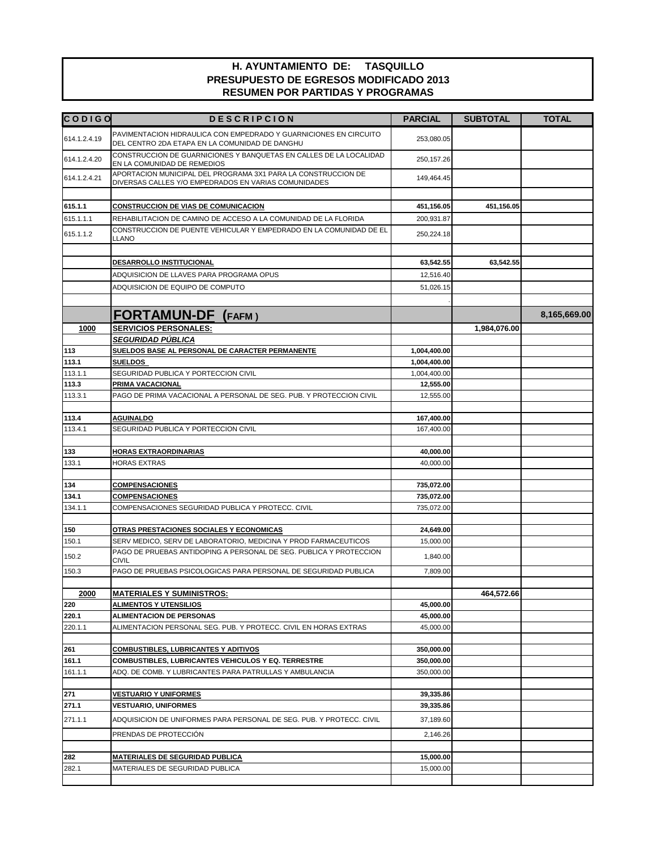| <b>CODIGO</b> | <b>DESCRIPCION</b>                                                                                                    | <b>PARCIAL</b> | <b>SUBTOTAL</b> | <b>TOTAL</b> |
|---------------|-----------------------------------------------------------------------------------------------------------------------|----------------|-----------------|--------------|
| 614.1.2.4.19  | PAVIMENTACION HIDRAULICA CON EMPEDRADO Y GUARNICIONES EN CIRCUITO<br>DEL CENTRO 2DA ETAPA EN LA COMUNIDAD DE DANGHU   | 253,080.05     |                 |              |
| 614.1.2.4.20  | CONSTRUCCION DE GUARNICIONES Y BANQUETAS EN CALLES DE LA LOCALIDAD<br>EN LA COMUNIDAD DE REMEDIOS                     | 250, 157. 26   |                 |              |
| 614.1.2.4.21  | APORTACION MUNICIPAL DEL PROGRAMA 3X1 PARA LA CONSTRUCCION DE<br>DIVERSAS CALLES Y/O EMPEDRADOS EN VARIAS COMUNIDADES | 149,464.45     |                 |              |
|               |                                                                                                                       |                |                 |              |
| 615.1.1       | <b>CONSTRUCCION DE VIAS DE COMUNICACION</b>                                                                           | 451,156.05     | 451,156.05      |              |
| 615.1.1.1     | REHABILITACION DE CAMINO DE ACCESO A LA COMUNIDAD DE LA FLORIDA                                                       | 200.931.87     |                 |              |
| 615.1.1.2     | CONSTRUCCION DE PUENTE VEHICULAR Y EMPEDRADO EN LA COMUNIDAD DE EL<br><b>LLANO</b>                                    | 250,224.18     |                 |              |
|               | DESARROLLO INSTITUCIONAL                                                                                              | 63,542.55      | 63,542.55       |              |
|               |                                                                                                                       |                |                 |              |
|               | ADQUISICION DE LLAVES PARA PROGRAMA OPUS                                                                              | 12,516.40      |                 |              |
|               | ADQUISICION DE EQUIPO DE COMPUTO                                                                                      | 51,026.15      |                 |              |
|               | <b>FORTAMUN-DF</b> (FAFM)                                                                                             |                |                 | 8,165,669.00 |
| 1000          | <b>SERVICIOS PERSONALES:</b>                                                                                          |                | 1,984,076.00    |              |
|               | <b>SEGURIDAD PÚBLICA</b>                                                                                              |                |                 |              |
| 113           | SUELDOS BASE AL PERSONAL DE CARACTER PERMANENTE                                                                       | 1,004,400.00   |                 |              |
| 113.1         | <b>SUELDOS</b>                                                                                                        | 1,004,400.00   |                 |              |
| 113.1.1       | SEGURIDAD PUBLICA Y PORTECCION CIVIL                                                                                  | 1,004,400.00   |                 |              |
| 113.3         | PRIMA VACACIONAL                                                                                                      | 12,555.00      |                 |              |
| 113.3.1       | PAGO DE PRIMA VACACIONAL A PERSONAL DE SEG. PUB. Y PROTECCION CIVIL                                                   | 12,555.00      |                 |              |
|               |                                                                                                                       |                |                 |              |
| 113.4         | <b>AGUINALDO</b>                                                                                                      | 167,400.00     |                 |              |
| 113.4.1       | SEGURIDAD PUBLICA Y PORTECCION CIVIL                                                                                  | 167,400.00     |                 |              |
|               |                                                                                                                       |                |                 |              |
| 133           | <b>HORAS EXTRAORDINARIAS</b>                                                                                          | 40,000.00      |                 |              |
| 133.1         | <b>HORAS EXTRAS</b>                                                                                                   | 40,000.00      |                 |              |
|               |                                                                                                                       |                |                 |              |
| 134           | <b>COMPENSACIONES</b>                                                                                                 | 735,072.00     |                 |              |
| 134.1         | <b>COMPENSACIONES</b>                                                                                                 | 735,072.00     |                 |              |
| 134.1.1       | COMPENSACIONES SEGURIDAD PUBLICA Y PROTECC. CIVIL                                                                     | 735,072.00     |                 |              |
|               |                                                                                                                       |                |                 |              |
| 150           | OTRAS PRESTACIONES SOCIALES Y ECONOMICAS                                                                              | 24,649.00      |                 |              |
| 150.1         | SERV MEDICO, SERV DE LABORATORIO, MEDICINA Y PROD FARMACEUTICOS                                                       | 15.000.00      |                 |              |
| 150.2         | PAGO DE PRUEBAS ANTIDOPING A PERSONAL DE SEG. PUBLICA Y PROTECCION<br><b>CIVIL</b>                                    | 1,840.00       |                 |              |
| 150.3         | PAGO DE PRUEBAS PSICOLOGICAS PARA PERSONAL DE SEGURIDAD PUBLICA                                                       | 7,809.00       |                 |              |
|               |                                                                                                                       |                |                 |              |
| 2000          | <b>MATERIALES Y SUMINISTROS:</b>                                                                                      |                | 464,572.66      |              |
| 220           | <b>ALIMENTOS Y UTENSILIOS</b>                                                                                         | 45,000.00      |                 |              |
| 220.1         | <b>ALIMENTACION DE PERSONAS</b><br>ALIMENTACION PERSONAL SEG. PUB. Y PROTECC. CIVIL EN HORAS EXTRAS                   | 45,000.00      |                 |              |
| 220.1.1       |                                                                                                                       | 45,000.00      |                 |              |
| 261           | <b>COMBUSTIBLES, LUBRICANTES Y ADITIVOS</b>                                                                           | 350,000.00     |                 |              |
| 161.1         | COMBUSTIBLES, LUBRICANTES VEHICULOS Y EQ. TERRESTRE                                                                   | 350,000.00     |                 |              |
| 161.1.1       | ADQ. DE COMB. Y LUBRICANTES PARA PATRULLAS Y AMBULANCIA                                                               | 350.000.00     |                 |              |
|               |                                                                                                                       |                |                 |              |
| 271           | <b>VESTUARIO Y UNIFORMES</b>                                                                                          | 39,335.86      |                 |              |
| 271.1         | <b>VESTUARIO, UNIFORMES</b>                                                                                           | 39,335.86      |                 |              |
| 271.1.1       | ADQUISICION DE UNIFORMES PARA PERSONAL DE SEG. PUB. Y PROTECC. CIVIL                                                  | 37,189.60      |                 |              |
|               | PRENDAS DE PROTECCIÓN                                                                                                 | 2,146.26       |                 |              |
|               |                                                                                                                       |                |                 |              |
| 282           | <b>MATERIALES DE SEGURIDAD PUBLICA</b>                                                                                | 15,000.00      |                 |              |
| 282.1         | MATERIALES DE SEGURIDAD PUBLICA                                                                                       | 15,000.00      |                 |              |
|               |                                                                                                                       |                |                 |              |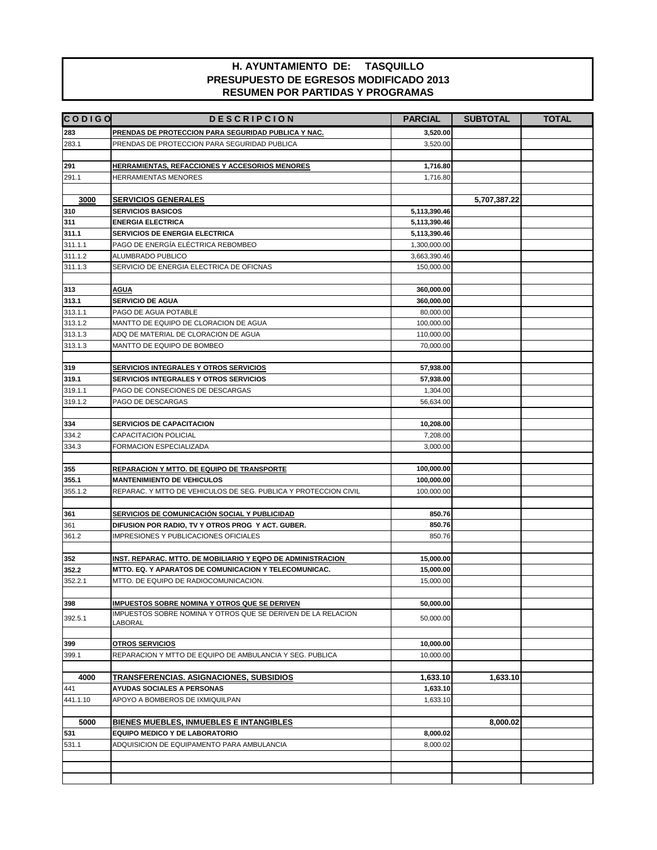| <b>CODIGO</b> | <b>DESCRIPCION</b>                                                                                                   | <b>PARCIAL</b>         | <b>SUBTOTAL</b> | <b>TOTAL</b> |
|---------------|----------------------------------------------------------------------------------------------------------------------|------------------------|-----------------|--------------|
| 283           | PRENDAS DE PROTECCION PARA SEGURIDAD PUBLICA Y NAC.                                                                  | 3,520.00               |                 |              |
| 283.1         | PRENDAS DE PROTECCION PARA SEGURIDAD PUBLICA                                                                         | 3,520.00               |                 |              |
|               |                                                                                                                      |                        |                 |              |
| 291           | <u>HERRAMIENTAS, REFACCIONES Y ACCESORIOS MENORES</u>                                                                | 1,716.80               |                 |              |
| 291.1         | <b>HERRAMIENTAS MENORES</b>                                                                                          | 1,716.80               |                 |              |
|               |                                                                                                                      |                        |                 |              |
| 3000          | <b>SERVICIOS GENERALES</b>                                                                                           |                        | 5,707,387.22    |              |
| 310           | <b>SERVICIOS BASICOS</b>                                                                                             | 5,113,390.46           |                 |              |
| 311           | <b>ENERGIA ELECTRICA</b>                                                                                             | 5,113,390.46           |                 |              |
| 311.1         | SERVICIOS DE ENERGIA ELECTRICA                                                                                       | 5,113,390.46           |                 |              |
| 311.1.1       | PAGO DE ENERGÍA ELÉCTRICA REBOMBEO                                                                                   | 1,300,000.00           |                 |              |
| 311.1.2       | ALUMBRADO PUBLICO                                                                                                    | 3,663,390.46           |                 |              |
| 311.1.3       | SERVICIO DE ENERGIA ELECTRICA DE OFICNAS                                                                             | 150,000.00             |                 |              |
|               |                                                                                                                      |                        |                 |              |
| 313           | <b>AGUA</b>                                                                                                          | 360,000.00             |                 |              |
| 313.1         | <b>SERVICIO DE AGUA</b>                                                                                              | 360,000.00             |                 |              |
| 313.1.1       | PAGO DE AGUA POTABLE                                                                                                 | 80,000.00              |                 |              |
| 313.1.2       | MANTTO DE EQUIPO DE CLORACION DE AGUA                                                                                | 100,000.00             |                 |              |
| 313.1.3       | ADQ DE MATERIAL DE CLORACION DE AGUA                                                                                 | 110,000.00             |                 |              |
| 313.1.3       | MANTTO DE EQUIPO DE BOMBEO                                                                                           | 70,000.00              |                 |              |
|               |                                                                                                                      |                        |                 |              |
| 319           | <b>SERVICIOS INTEGRALES Y OTROS SERVICIOS</b>                                                                        | 57,938.00              |                 |              |
| 319.1         | SERVICIOS INTEGRALES Y OTROS SERVICIOS                                                                               | 57,938.00              |                 |              |
| 319.1.1       | PAGO DE CONSECIONES DE DESCARGAS                                                                                     | 1,304.00               |                 |              |
| 319.1.2       | PAGO DE DESCARGAS                                                                                                    | 56,634.00              |                 |              |
|               |                                                                                                                      |                        |                 |              |
| 334           | <b>SERVICIOS DE CAPACITACION</b>                                                                                     | 10,208.00              |                 |              |
| 334.2         | CAPACITACION POLICIAL                                                                                                | 7,208.00               |                 |              |
| 334.3         | FORMACION ESPECIALIZADA                                                                                              | 3,000.00               |                 |              |
|               |                                                                                                                      |                        |                 |              |
| 355           | REPARACION Y MTTO. DE EQUIPO DE TRANSPORTE                                                                           | 100,000.00             |                 |              |
| 355.1         | <b>MANTENIMIENTO DE VEHICULOS</b>                                                                                    | 100,000.00             |                 |              |
| 355.1.2       | REPARAC. Y MTTO DE VEHICULOS DE SEG. PUBLICA Y PROTECCION CIVIL                                                      | 100,000.00             |                 |              |
|               |                                                                                                                      |                        |                 |              |
| 361           | SERVICIOS DE COMUNICACIÓN SOCIAL Y PUBLICIDAD                                                                        | 850.76                 |                 |              |
| 361           | DIFUSION POR RADIO, TV Y OTROS PROG Y ACT. GUBER.                                                                    | 850.76                 |                 |              |
| 361.2         | IMPRESIONES Y PUBLICACIONES OFICIALES                                                                                | 850.76                 |                 |              |
|               |                                                                                                                      |                        |                 |              |
| 352<br>352.2  | INST. REPARAC. MTTO. DE MOBILIARIO Y EQPO DE ADMINISTRACION<br>MTTO. EQ. Y APARATOS DE COMUNICACION Y TELECOMUNICAC. | 15,000.00<br>15,000.00 |                 |              |
| 352.2.1       | MTTO. DE EQUIPO DE RADIOCOMUNICACION.                                                                                | 15,000.00              |                 |              |
|               |                                                                                                                      |                        |                 |              |
| 398           | IMPUESTOS SOBRE NOMINA Y OTROS QUE SE DERIVEN                                                                        | 50,000.00              |                 |              |
|               | IMPUESTOS SOBRE NOMINA Y OTROS QUE SE DERIVEN DE LA RELACION                                                         |                        |                 |              |
| 392.5.1       | LABORAL                                                                                                              | 50,000.00              |                 |              |
|               |                                                                                                                      |                        |                 |              |
| 399           | <b>OTROS SERVICIOS</b>                                                                                               | 10,000.00              |                 |              |
| 399.1         | REPARACION Y MTTO DE EQUIPO DE AMBULANCIA Y SEG. PUBLICA                                                             | 10,000.00              |                 |              |
|               |                                                                                                                      |                        |                 |              |
| 4000          | <u>TRANSFERENCIAS. ASIGNACIONES, SUBSIDIOS</u>                                                                       | 1,633.10               | 1,633.10        |              |
| 441           | <b>AYUDAS SOCIALES A PERSONAS</b>                                                                                    | 1,633.10               |                 |              |
| 441.1.10      | APOYO A BOMBEROS DE IXMIQUILPAN                                                                                      | 1,633.10               |                 |              |
|               |                                                                                                                      |                        |                 |              |
| 5000          | <b>BIENES MUEBLES, INMUEBLES E INTANGIBLES</b>                                                                       |                        | 8,000.02        |              |
| 531           | EQUIPO MEDICO Y DE LABORATORIO                                                                                       | 8,000.02               |                 |              |
| 531.1         | ADQUISICION DE EQUIPAMENTO PARA AMBULANCIA                                                                           | 8,000.02               |                 |              |
|               |                                                                                                                      |                        |                 |              |
|               |                                                                                                                      |                        |                 |              |
|               |                                                                                                                      |                        |                 |              |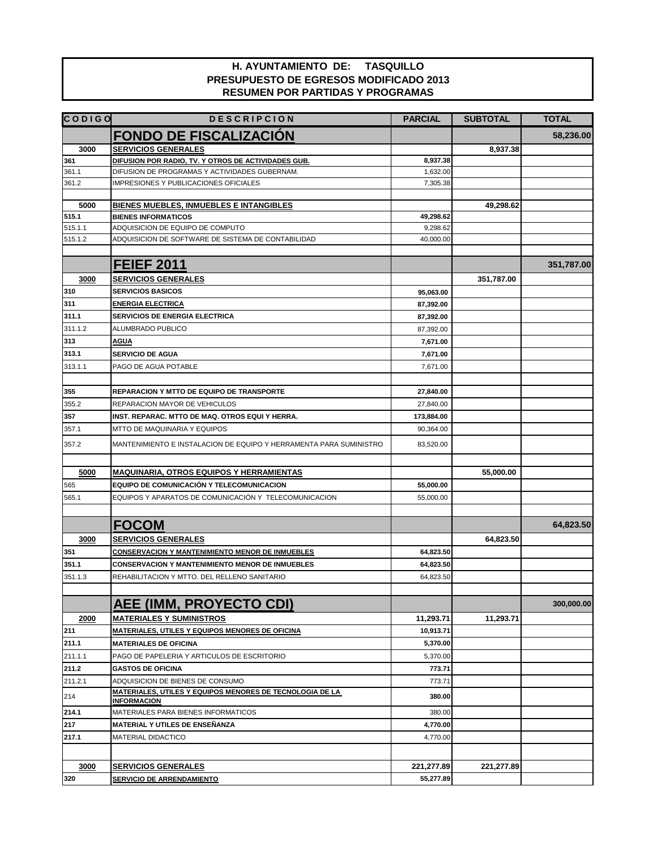| <b>CODIGO</b> | <b>DESCRIPCION</b>                                                             | <b>PARCIAL</b> | <b>SUBTOTAL</b> | <b>TOTAL</b> |
|---------------|--------------------------------------------------------------------------------|----------------|-----------------|--------------|
|               | <b>FONDO DE FISCALIZACIÓN</b>                                                  |                |                 | 58,236.00    |
| 3000          | <b>SERVICIOS GENERALES</b>                                                     |                | 8,937.38        |              |
| 361           | DIFUSION POR RADIO, TV. Y OTROS DE ACTIVIDADES GUB.                            | 8,937.38       |                 |              |
| 361.1         | DIFUSION DE PROGRAMAS Y ACTIVIDADES GUBERNAM.                                  | 1,632.00       |                 |              |
| 361.2         | <b>IMPRESIONES Y PUBLICACIONES OFICIALES</b>                                   | 7,305.38       |                 |              |
|               |                                                                                |                |                 |              |
| 5000          | <b>BIENES MUEBLES, INMUEBLES E INTANGIBLES</b>                                 |                | 49,298.62       |              |
| 515.1         | <b>BIENES INFORMATICOS</b>                                                     | 49,298.62      |                 |              |
| 515.1.1       | ADQUISICION DE EQUIPO DE COMPUTO                                               | 9,298.62       |                 |              |
| 515.1.2       | ADQUISICION DE SOFTWARE DE SISTEMA DE CONTABILIDAD                             | 40,000.00      |                 |              |
|               | <b>FEIEF 2011</b>                                                              |                |                 | 351,787.00   |
|               |                                                                                |                |                 |              |
| 3000          | <b>SERVICIOS GENERALES</b>                                                     |                | 351,787.00      |              |
| 310           | <b>SERVICIOS BASICOS</b>                                                       | 95,063.00      |                 |              |
| 311           | <b>ENERGIA ELECTRICA</b>                                                       | 87,392.00      |                 |              |
| 311.1         | <b>SERVICIOS DE ENERGIA ELECTRICA</b>                                          | 87,392.00      |                 |              |
| 311.1.2       | ALUMBRADO PUBLICO                                                              | 87,392.00      |                 |              |
| 313           | <u>AGUA</u>                                                                    | 7,671.00       |                 |              |
| 313.1         | <b>SERVICIO DE AGUA</b>                                                        | 7,671.00       |                 |              |
| 313.1.1       | PAGO DE AGUA POTABLE                                                           | 7,671.00       |                 |              |
|               |                                                                                |                |                 |              |
| 355           | <b>REPARACION Y MTTO DE EQUIPO DE TRANSPORTE</b>                               | 27,840.00      |                 |              |
| 355.2         | REPARACION MAYOR DE VEHICULOS                                                  | 27,840.00      |                 |              |
| 357           | INST. REPARAC. MTTO DE MAQ. OTROS EQUI Y HERRA.                                | 173,884.00     |                 |              |
| 357.1         | MTTO DE MAQUINARIA Y EQUIPOS                                                   | 90,364.00      |                 |              |
| 357.2         | MANTENIMIENTO E INSTALACION DE EQUIPO Y HERRAMENTA PARA SUMINISTRO             | 83,520.00      |                 |              |
| 5000          | <b>MAQUINARIA, OTROS EQUIPOS Y HERRAMIENTAS</b>                                |                | 55,000.00       |              |
| 565           | EQUIPO DE COMUNICACIÓN Y TELECOMUNICACION                                      | 55,000.00      |                 |              |
| 565.1         | EQUIPOS Y APARATOS DE COMUNICACIÓN Y TELECOMUNICACION                          | 55,000.00      |                 |              |
|               |                                                                                |                |                 |              |
|               | <b>FOCOM</b>                                                                   |                |                 | 64,823.50    |
| 3000          | <b>SERVICIOS GENERALES</b>                                                     |                | 64,823.50       |              |
| 351           | <b>CONSERVACION Y MANTENIMIENTO MENOR DE INMUEBLES</b>                         | 64,823.50      |                 |              |
| 351.1         | <b>CONSERVACION Y MANTENIMIENTO MENOR DE INMUEBLES</b>                         | 64,823.50      |                 |              |
| 351.1.3       | REHABILITACION Y MTTO. DEL RELLENO SANITARIO                                   | 64,823.50      |                 |              |
|               |                                                                                |                |                 |              |
|               | <b>AEE (IMM, PROYECTO CDI)</b>                                                 |                |                 | 300,000.00   |
| 2000          | <b>MATERIALES Y SUMINISTROS</b>                                                | 11,293.71      | 11,293.71       |              |
| 211           | MATERIALES, UTILES Y EQUIPOS MENORES DE OFICINA                                | 10,913.71      |                 |              |
| 211.1         | <b>MATERIALES DE OFICINA</b>                                                   | 5,370.00       |                 |              |
| 211.1.1       | PAGO DE PAPELERIA Y ARTICULOS DE ESCRITORIO                                    | 5,370.00       |                 |              |
| 211.2         | <b>GASTOS DE OFICINA</b>                                                       | 773.71         |                 |              |
| 211.2.1       | ADQUISICION DE BIENES DE CONSUMO                                               | 773.71         |                 |              |
| 214           | MATERIALES, UTILES Y EQUIPOS MENORES DE TECNOLOGIA DE LA<br><b>INFORMACION</b> | 380.00         |                 |              |
| 214.1         | MATERIALES PARA BIENES INFORMATICOS                                            | 380.00         |                 |              |
| 217           | MATERIAL Y UTILES DE ENSEÑANZA                                                 | 4,770.00       |                 |              |
| 217.1         | MATERIAL DIDACTICO                                                             | 4,770.00       |                 |              |
|               |                                                                                |                |                 |              |
| 3000          | <b>SERVICIOS GENERALES</b>                                                     | 221,277.89     | 221,277.89      |              |
| 320           | SERVICIO DE ARRENDAMIENTO                                                      | 55,277.89      |                 |              |